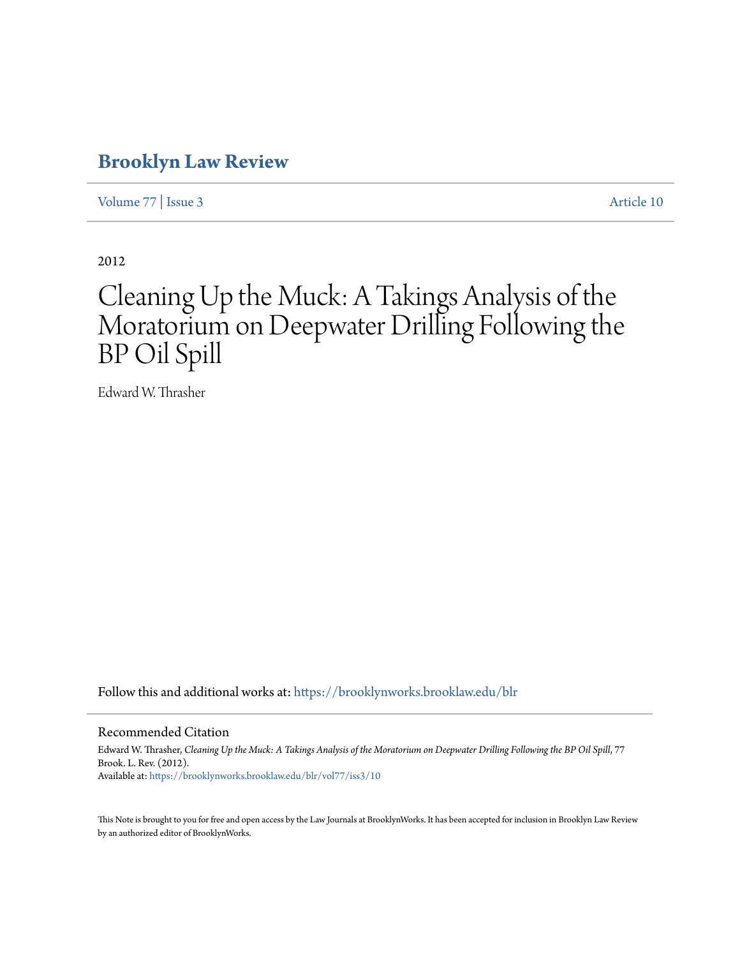# **[Brooklyn Law Review](https://brooklynworks.brooklaw.edu/blr?utm_source=brooklynworks.brooklaw.edu%2Fblr%2Fvol77%2Fiss3%2F10&utm_medium=PDF&utm_campaign=PDFCoverPages)**

[Volume 77](https://brooklynworks.brooklaw.edu/blr/vol77?utm_source=brooklynworks.brooklaw.edu%2Fblr%2Fvol77%2Fiss3%2F10&utm_medium=PDF&utm_campaign=PDFCoverPages) | [Issue 3](https://brooklynworks.brooklaw.edu/blr/vol77/iss3?utm_source=brooklynworks.brooklaw.edu%2Fblr%2Fvol77%2Fiss3%2F10&utm_medium=PDF&utm_campaign=PDFCoverPages) [Article 10](https://brooklynworks.brooklaw.edu/blr/vol77/iss3/10?utm_source=brooklynworks.brooklaw.edu%2Fblr%2Fvol77%2Fiss3%2F10&utm_medium=PDF&utm_campaign=PDFCoverPages)

2012

# Cleaning Up the Muck: A Takings Analysis of the Moratorium on Deepwater Drilling Following the BP Oil Spill

Edward W. Thrasher

Follow this and additional works at: [https://brooklynworks.brooklaw.edu/blr](https://brooklynworks.brooklaw.edu/blr?utm_source=brooklynworks.brooklaw.edu%2Fblr%2Fvol77%2Fiss3%2F10&utm_medium=PDF&utm_campaign=PDFCoverPages)

#### Recommended Citation

Edward W. Thrasher, *Cleaning Up the Muck: A Takings Analysis of the Moratorium on Deepwater Drilling Following the BP Oil Spill*, 77 Brook. L. Rev. (2012). Available at: [https://brooklynworks.brooklaw.edu/blr/vol77/iss3/10](https://brooklynworks.brooklaw.edu/blr/vol77/iss3/10?utm_source=brooklynworks.brooklaw.edu%2Fblr%2Fvol77%2Fiss3%2F10&utm_medium=PDF&utm_campaign=PDFCoverPages)

This Note is brought to you for free and open access by the Law Journals at BrooklynWorks. It has been accepted for inclusion in Brooklyn Law Review by an authorized editor of BrooklynWorks.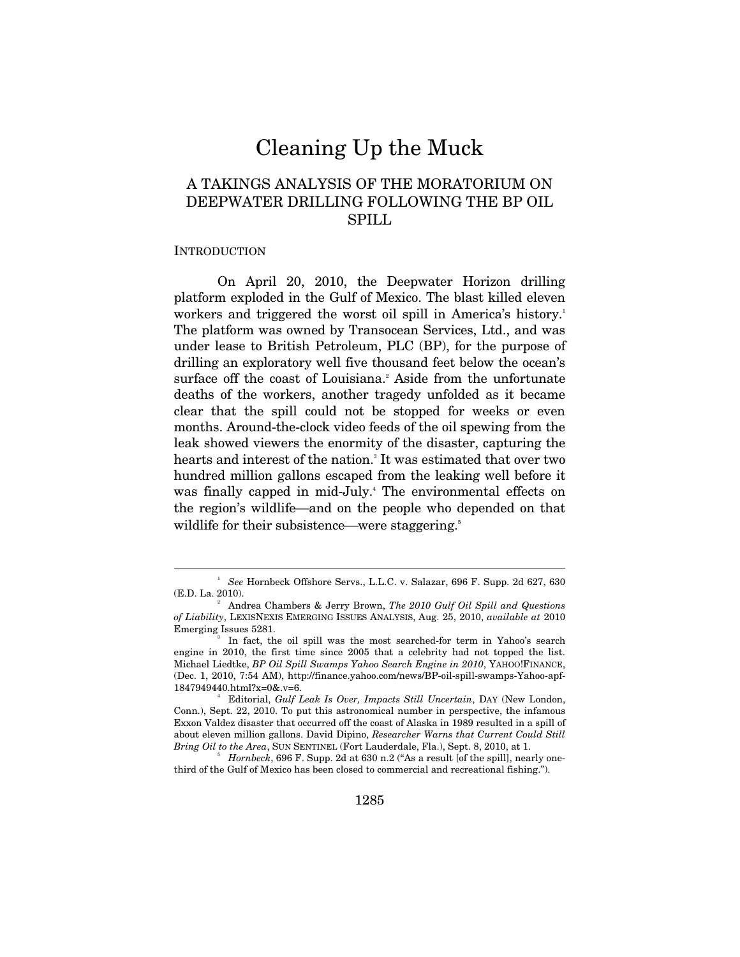# Cleaning Up the Muck

# A TAKINGS ANALYSIS OF THE MORATORIUM ON DEEPWATER DRILLING FOLLOWING THE BP OIL SPILL

#### **INTRODUCTION**

 $\overline{a}$ 

On April 20, 2010, the Deepwater Horizon drilling platform exploded in the Gulf of Mexico. The blast killed eleven workers and triggered the worst oil spill in America's history.<sup>1</sup> The platform was owned by Transocean Services, Ltd., and was under lease to British Petroleum, PLC (BP), for the purpose of drilling an exploratory well five thousand feet below the ocean's surface off the coast of Louisiana.<sup>2</sup> Aside from the unfortunate deaths of the workers, another tragedy unfolded as it became clear that the spill could not be stopped for weeks or even months. Around-the-clock video feeds of the oil spewing from the leak showed viewers the enormity of the disaster, capturing the hearts and interest of the nation.<sup>3</sup> It was estimated that over two hundred million gallons escaped from the leaking well before it was finally capped in mid-July.<sup>4</sup> The environmental effects on the region's wildlife—and on the people who depended on that wildlife for their subsistence—were staggering.<sup>5</sup>

<sup>1</sup>  *See* Hornbeck Offshore Servs., L.L.C. v. Salazar, 696 F. Supp. 2d 627, 630 (E.D. La. 2010).

Andrea Chambers & Jerry Brown, *The 2010 Gulf Oil Spill and Questions of Liability*, LEXISNEXIS EMERGING ISSUES ANALYSIS, Aug. 25, 2010, *available at* 2010 Emerging Issues 5281.

In fact, the oil spill was the most searched-for term in Yahoo's search engine in 2010, the first time since 2005 that a celebrity had not topped the list. Michael Liedtke, *BP Oil Spill Swamps Yahoo Search Engine in 2010*, YAHOO!FINANCE, (Dec. 1, 2010, 7:54 AM), http://finance.yahoo.com/news/BP-oil-spill-swamps-Yahoo-apf-1847949440.html?x=0&.v=6. 4

Editorial, *Gulf Leak Is Over, Impacts Still Uncertain*, DAY (New London, Conn.), Sept. 22, 2010. To put this astronomical number in perspective, the infamous Exxon Valdez disaster that occurred off the coast of Alaska in 1989 resulted in a spill of about eleven million gallons. David Dipino, *Researcher Warns that Current Could Still Bring Oil to the Area*, SUN SENTINEL (Fort Lauderdale, Fla.), Sept. 8, 2010, at 1.

 $<sup>5</sup>$  *Hornbeck*, 696 F. Supp. 2d at 630 n.2 ("As a result [of the spill], nearly one-</sup> third of the Gulf of Mexico has been closed to commercial and recreational fishing.").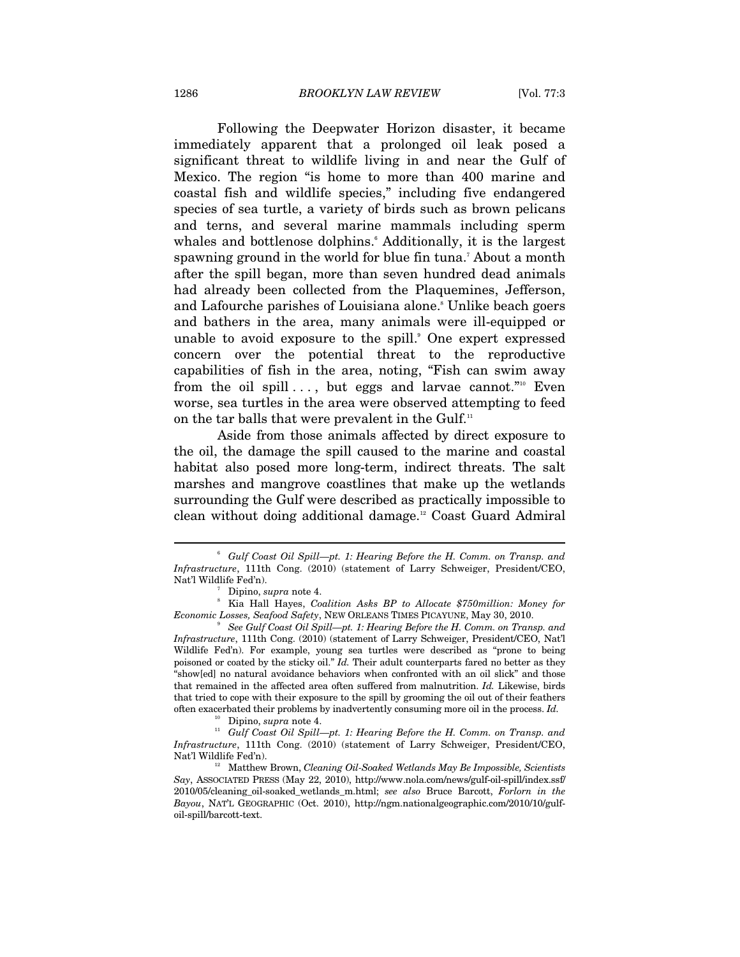Following the Deepwater Horizon disaster, it became immediately apparent that a prolonged oil leak posed a significant threat to wildlife living in and near the Gulf of Mexico. The region "is home to more than 400 marine and coastal fish and wildlife species," including five endangered species of sea turtle, a variety of birds such as brown pelicans and terns, and several marine mammals including sperm whales and bottlenose dolphins.<sup>6</sup> Additionally, it is the largest spawning ground in the world for blue fin tuna.7 About a month after the spill began, more than seven hundred dead animals had already been collected from the Plaquemines, Jefferson, and Lafourche parishes of Louisiana alone.<sup>8</sup> Unlike beach goers and bathers in the area, many animals were ill-equipped or unable to avoid exposure to the spill.<sup>9</sup> One expert expressed concern over the potential threat to the reproductive capabilities of fish in the area, noting, "Fish can swim away from the oil spill  $\dots$ , but eggs and larvae cannot."<sup>10</sup> Even worse, sea turtles in the area were observed attempting to feed on the tar balls that were prevalent in the Gulf.<sup>11</sup>

Aside from those animals affected by direct exposure to the oil, the damage the spill caused to the marine and coastal habitat also posed more long-term, indirect threats. The salt marshes and mangrove coastlines that make up the wetlands surrounding the Gulf were described as practically impossible to clean without doing additional damage.12 Coast Guard Admiral

<sup>&</sup>lt;sup>6</sup> Gulf Coast Oil Spill—pt. 1: Hearing Before the H. Comm. on Transp. and *Infrastructure*, 111th Cong. (2010) (statement of Larry Schweiger, President/CEO, Nat'l Wildlife Fed'n). 7

Dipino, *supra* note 4. 8

Kia Hall Hayes, *Coalition Asks BP to Allocate \$750million: Money for Economic Losses, Seafood Safety*, NEW ORLEANS TIMES PICAYUNE, May 30, 2010.

*See Gulf Coast Oil Spill—pt. 1: Hearing Before the H. Comm. on Transp. and Infrastructure*, 111th Cong. (2010) (statement of Larry Schweiger, President/CEO, Nat'l Wildlife Fed'n). For example, young sea turtles were described as "prone to being poisoned or coated by the sticky oil." *Id.* Their adult counterparts fared no better as they "show[ed] no natural avoidance behaviors when confronted with an oil slick" and those that remained in the affected area often suffered from malnutrition. *Id.* Likewise, birds that tried to cope with their exposure to the spill by grooming the oil out of their feathers often exacerbated their problems by inadvertently consuming more oil in the process. *Id.* 

<sup>&</sup>lt;sup>10</sup> Dipino, *supra* note 4.<br><sup>11</sup> Gulf Coast Oil Spill—pt. 1: Hearing Before the H. Comm. on Transp. and *Infrastructure*, 111th Cong. (2010) (statement of Larry Schweiger, President/CEO, Nat'l Wildlife Fed'n). 12 Matthew Brown, *Cleaning Oil-Soaked Wetlands May Be Impossible, Scientists* 

*Say*, ASSOCIATED PRESS (May 22, 2010), http://www.nola.com/news/gulf-oil-spill/index.ssf/ 2010/05/cleaning\_oil-soaked\_wetlands\_m.html; *see also* Bruce Barcott, *Forlorn in the Bayou*, NAT'L GEOGRAPHIC (Oct. 2010), http://ngm.nationalgeographic.com/2010/10/gulfoil-spill/barcott-text.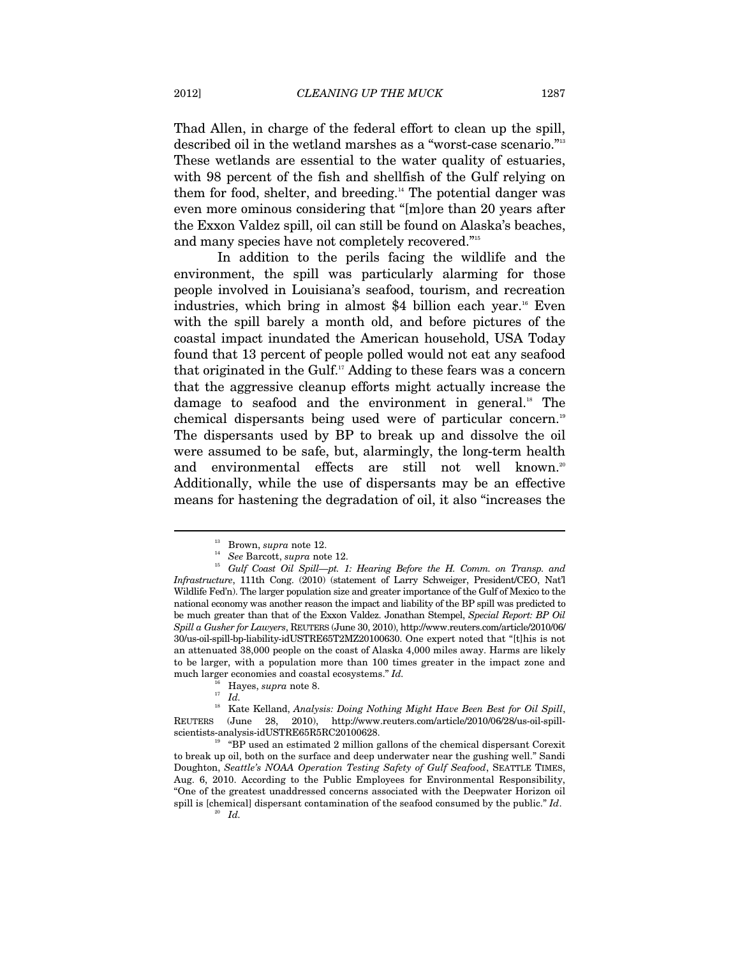Thad Allen, in charge of the federal effort to clean up the spill, described oil in the wetland marshes as a "worst-case scenario."<sup>13</sup> These wetlands are essential to the water quality of estuaries, with 98 percent of the fish and shellfish of the Gulf relying on them for food, shelter, and breeding.<sup>14</sup> The potential danger was even more ominous considering that "[m]ore than 20 years after the Exxon Valdez spill, oil can still be found on Alaska's beaches, and many species have not completely recovered."15

In addition to the perils facing the wildlife and the environment, the spill was particularly alarming for those people involved in Louisiana's seafood, tourism, and recreation industries, which bring in almost \$4 billion each year.<sup>16</sup> Even with the spill barely a month old, and before pictures of the coastal impact inundated the American household, USA Today found that 13 percent of people polled would not eat any seafood that originated in the Gulf.17 Adding to these fears was a concern that the aggressive cleanup efforts might actually increase the damage to seafood and the environment in general.<sup>18</sup> The chemical dispersants being used were of particular concern.<sup>19</sup> The dispersants used by BP to break up and dissolve the oil were assumed to be safe, but, alarmingly, the long-term health and environmental effects are still not well known.<sup>20</sup> Additionally, while the use of dispersants may be an effective means for hastening the degradation of oil, it also "increases the

<sup>&</sup>lt;sup>13</sup> Brown, *supra* note 12.<br><sup>14</sup> See Barcott, *supra* note 12.<br><sup>15</sup> Gulf Coast Oil Spill—pt. 1: Hearing Before the H. Comm. on Transp. and *Infrastructure*, 111th Cong. (2010) (statement of Larry Schweiger, President/CEO, Nat'l Wildlife Fed'n). The larger population size and greater importance of the Gulf of Mexico to the national economy was another reason the impact and liability of the BP spill was predicted to be much greater than that of the Exxon Valdez. Jonathan Stempel, *Special Report: BP Oil Spill a Gusher for Lawyers*, REUTERS (June 30, 2010), http://www.reuters.com/article/2010/06/ 30/us-oil-spill-bp-liability-idUSTRE65T2MZ20100630. One expert noted that "[t]his is not an attenuated 38,000 people on the coast of Alaska 4,000 miles away. Harms are likely to be larger, with a population more than 100 times greater in the impact zone and much larger economies and coastal ecosystems." *Id.*

<sup>&</sup>lt;sup>16</sup> Hayes, *supra* note 8.<br><sup>17</sup> *Id.*<br><sup>18</sup> *V*<sub>t</sub>, *V*<sub>t</sub>lland *A*urly

<sup>18</sup> Kate Kelland, *Analysis: Doing Nothing Might Have Been Best for Oil Spill*, REUTERS (June 28, 2010), http://www.reuters.com/article/2010/06/28/us-oil-spill-

 $19$  "BP used an estimated 2 million gallons of the chemical dispersant Corexit to break up oil, both on the surface and deep underwater near the gushing well." Sandi Doughton, *Seattle's NOAA Operation Testing Safety of Gulf Seafood*, SEATTLE TIMES, Aug. 6, 2010. According to the Public Employees for Environmental Responsibility, "One of the greatest unaddressed concerns associated with the Deepwater Horizon oil spill is [chemical] dispersant contamination of the seafood consumed by the public."  $Id$ .  $Id$ .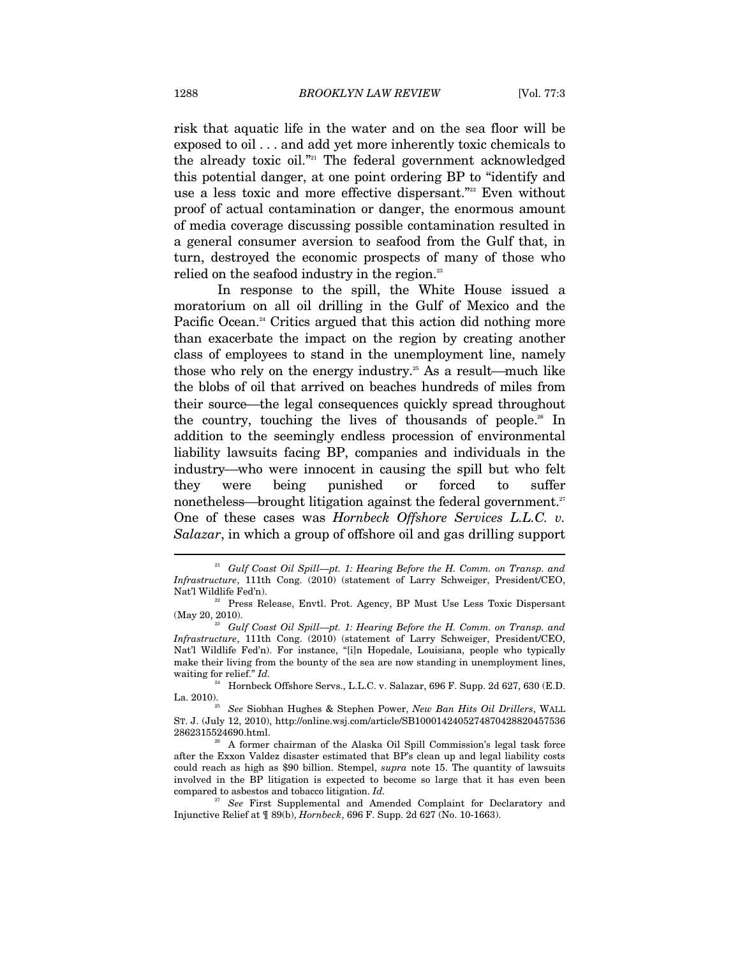risk that aquatic life in the water and on the sea floor will be exposed to oil . . . and add yet more inherently toxic chemicals to the already toxic oil."21 The federal government acknowledged this potential danger, at one point ordering BP to "identify and use a less toxic and more effective dispersant."<sup>22</sup> Even without proof of actual contamination or danger, the enormous amount of media coverage discussing possible contamination resulted in a general consumer aversion to seafood from the Gulf that, in turn, destroyed the economic prospects of many of those who relied on the seafood industry in the region.<sup>23</sup>

In response to the spill, the White House issued a moratorium on all oil drilling in the Gulf of Mexico and the Pacific Ocean.<sup>24</sup> Critics argued that this action did nothing more than exacerbate the impact on the region by creating another class of employees to stand in the unemployment line, namely those who rely on the energy industry.<sup>25</sup> As a result—much like the blobs of oil that arrived on beaches hundreds of miles from their source—the legal consequences quickly spread throughout the country, touching the lives of thousands of people.<sup>26</sup> In addition to the seemingly endless procession of environmental liability lawsuits facing BP, companies and individuals in the industry—who were innocent in causing the spill but who felt they were being punished or forced to suffer nonetheless—brought litigation against the federal government.<sup>27</sup> One of these cases was *Hornbeck Offshore Services L.L.C. v. Salazar*, in which a group of offshore oil and gas drilling support

<sup>21</sup> *Gulf Coast Oil Spill—pt. 1: Hearing Before the H. Comm. on Transp. and Infrastructure*, 111th Cong. (2010) (statement of Larry Schweiger, President/CEO, Nat'l Wildlife Fed'n). 22 Press Release, Envtl. Prot. Agency, BP Must Use Less Toxic Dispersant

<sup>(</sup>May 20, 2010). 23 *Gulf Coast Oil Spill—pt. 1: Hearing Before the H. Comm. on Transp. and* 

*Infrastructure*, 111th Cong. (2010) (statement of Larry Schweiger, President/CEO, Nat'l Wildlife Fed'n). For instance, "[i]n Hopedale, Louisiana, people who typically make their living from the bounty of the sea are now standing in unemployment lines,

waiting for relief."  $Id$ .<br><sup>24</sup> Hornbeck Offshore Servs., L.L.C. v. Salazar, 696 F. Supp. 2d 627, 630 (E.D.<br>La. 2010).

La. 2010). 25 *See* Siobhan Hughes & Stephen Power, *New Ban Hits Oil Drillers*, WALL ST. J. (July 12, 2010), http://online.wsj.com/article/SB1000142405274870428820457536 2862315524690.html. 26 A former chairman of the Alaska Oil Spill Commission's legal task force

after the Exxon Valdez disaster estimated that BP's clean up and legal liability costs could reach as high as \$90 billion. Stempel, *supra* note 15. The quantity of lawsuits involved in the BP litigation is expected to become so large that it has even been compared to asbestos and tobacco litigation. *Id.* 

<sup>&</sup>lt;sup>27</sup> See First Supplemental and Amended Complaint for Declaratory and Injunctive Relief at ¶ 89(b), *Hornbeck*, 696 F. Supp. 2d 627 (No. 10-1663).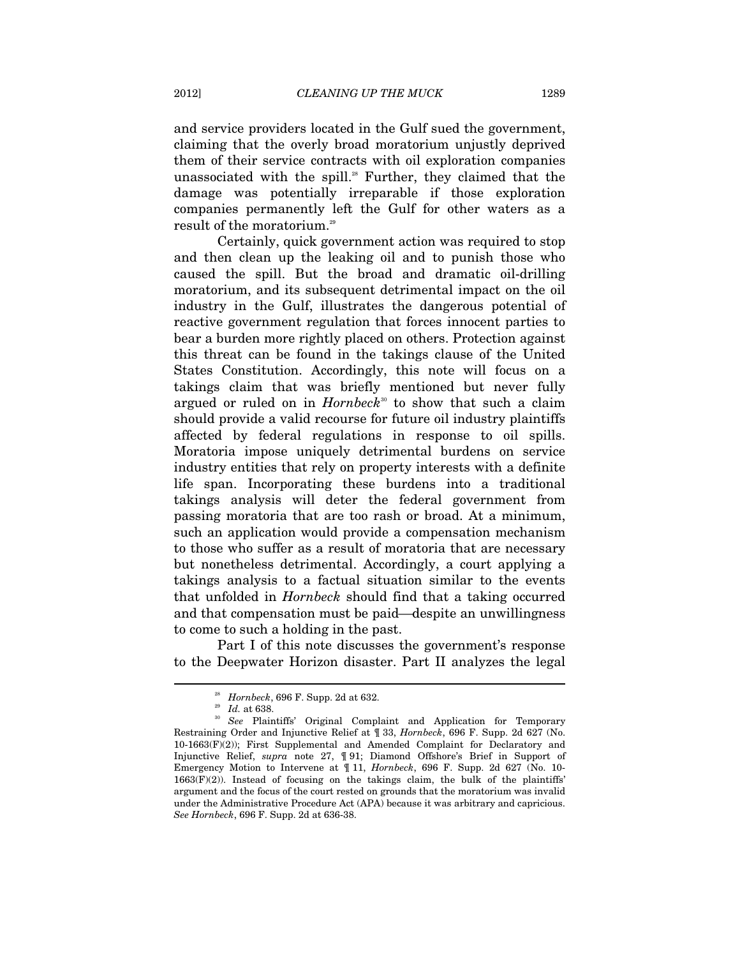and service providers located in the Gulf sued the government, claiming that the overly broad moratorium unjustly deprived them of their service contracts with oil exploration companies unassociated with the spill.<sup>28</sup> Further, they claimed that the damage was potentially irreparable if those exploration companies permanently left the Gulf for other waters as a result of the moratorium.<sup>29</sup>

Certainly, quick government action was required to stop and then clean up the leaking oil and to punish those who caused the spill. But the broad and dramatic oil-drilling moratorium, and its subsequent detrimental impact on the oil industry in the Gulf, illustrates the dangerous potential of reactive government regulation that forces innocent parties to bear a burden more rightly placed on others. Protection against this threat can be found in the takings clause of the United States Constitution. Accordingly, this note will focus on a takings claim that was briefly mentioned but never fully argued or ruled on in *Hornbeck*<sup>30</sup> to show that such a claim should provide a valid recourse for future oil industry plaintiffs affected by federal regulations in response to oil spills. Moratoria impose uniquely detrimental burdens on service industry entities that rely on property interests with a definite life span. Incorporating these burdens into a traditional takings analysis will deter the federal government from passing moratoria that are too rash or broad. At a minimum, such an application would provide a compensation mechanism to those who suffer as a result of moratoria that are necessary but nonetheless detrimental. Accordingly, a court applying a takings analysis to a factual situation similar to the events that unfolded in *Hornbeck* should find that a taking occurred and that compensation must be paid—despite an unwillingness to come to such a holding in the past.

Part I of this note discusses the government's response to the Deepwater Horizon disaster. Part II analyzes the legal

<sup>&</sup>lt;sup>28</sup> *Hornbeck*, 696 F. Supp. 2d at 632.<br><sup>29</sup> *Id.* at 638.<br><sup>30</sup> *See* Plaintiffs' Original Complaint and Application for Temporary Restraining Order and Injunctive Relief at ¶ 33, *Hornbeck*, 696 F. Supp. 2d 627 (No. 10-1663(F)(2)); First Supplemental and Amended Complaint for Declaratory and Injunctive Relief, *supra* note 27, ¶ 91; Diamond Offshore's Brief in Support of Emergency Motion to Intervene at ¶ 11, *Hornbeck*, 696 F. Supp. 2d 627 (No. 10-  $1663(F)(2)$ ). Instead of focusing on the takings claim, the bulk of the plaintiffs' argument and the focus of the court rested on grounds that the moratorium was invalid under the Administrative Procedure Act (APA) because it was arbitrary and capricious. *See Hornbeck*, 696 F. Supp. 2d at 636-38.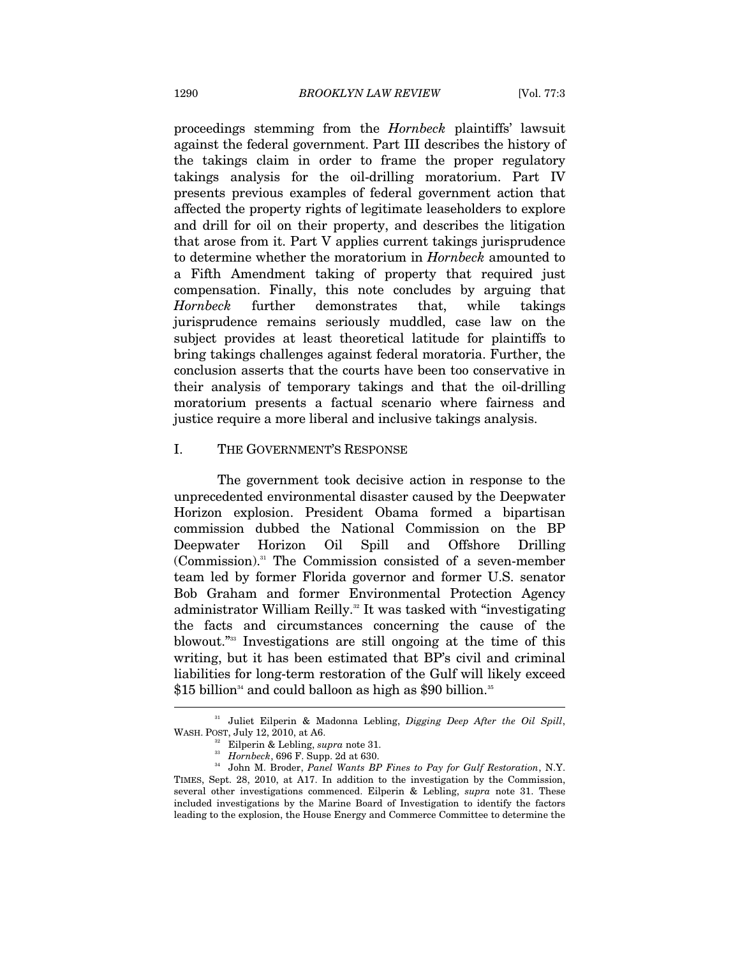proceedings stemming from the *Hornbeck* plaintiffs' lawsuit against the federal government. Part III describes the history of the takings claim in order to frame the proper regulatory takings analysis for the oil-drilling moratorium. Part IV presents previous examples of federal government action that affected the property rights of legitimate leaseholders to explore and drill for oil on their property, and describes the litigation that arose from it. Part V applies current takings jurisprudence to determine whether the moratorium in *Hornbeck* amounted to a Fifth Amendment taking of property that required just compensation. Finally, this note concludes by arguing that *Hornbeck* further demonstrates that, while takings jurisprudence remains seriously muddled, case law on the subject provides at least theoretical latitude for plaintiffs to bring takings challenges against federal moratoria. Further, the conclusion asserts that the courts have been too conservative in their analysis of temporary takings and that the oil-drilling moratorium presents a factual scenario where fairness and justice require a more liberal and inclusive takings analysis.

#### I. THE GOVERNMENT'S RESPONSE

The government took decisive action in response to the unprecedented environmental disaster caused by the Deepwater Horizon explosion. President Obama formed a bipartisan commission dubbed the National Commission on the BP Deepwater Horizon Oil Spill and Offshore Drilling (Commission).31 The Commission consisted of a seven-member team led by former Florida governor and former U.S. senator Bob Graham and former Environmental Protection Agency administrator William Reilly.<sup>32</sup> It was tasked with "investigating" the facts and circumstances concerning the cause of the blowout."33 Investigations are still ongoing at the time of this writing, but it has been estimated that BP's civil and criminal liabilities for long-term restoration of the Gulf will likely exceed  $$15$  billion<sup>34</sup> and could balloon as high as  $$90$  billion.<sup>35</sup>

<sup>31</sup> Juliet Eilperin & Madonna Lebling, *Digging Deep After the Oil Spill*, WASH. POST, July 12, 2010, at A6.<br><sup>32</sup> Eilperin & Lebling, *supra* note 31.<br><sup>33</sup> Hornbeck, 696 F. Supp. 2d at 630.<br><sup>34</sup> John M. Broder, *Panel Wants BP Fines to Pay for Gulf Restoration*, N.Y.

TIMES, Sept. 28, 2010, at A17. In addition to the investigation by the Commission, several other investigations commenced. Eilperin & Lebling, *supra* note 31. These included investigations by the Marine Board of Investigation to identify the factors leading to the explosion, the House Energy and Commerce Committee to determine the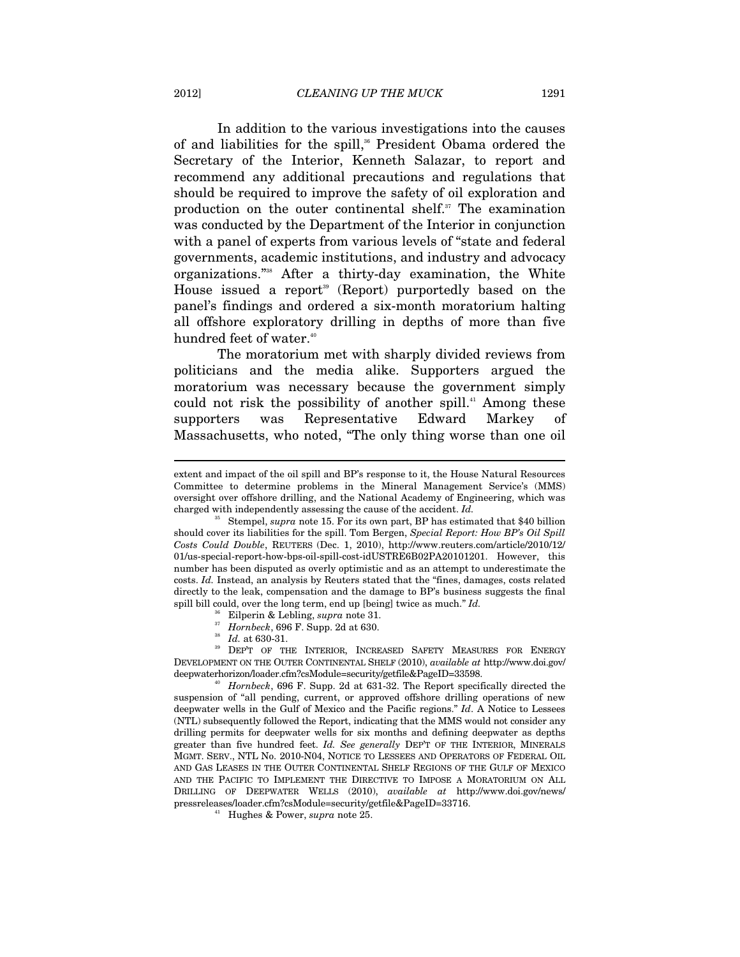In addition to the various investigations into the causes of and liabilities for the spill,<sup>36</sup> President Obama ordered the Secretary of the Interior, Kenneth Salazar, to report and recommend any additional precautions and regulations that should be required to improve the safety of oil exploration and production on the outer continental shelf. $37$  The examination was conducted by the Department of the Interior in conjunction with a panel of experts from various levels of "state and federal governments, academic institutions, and industry and advocacy organizations."38 After a thirty-day examination, the White House issued a report<sup>39</sup> (Report) purportedly based on the panel's findings and ordered a six-month moratorium halting all offshore exploratory drilling in depths of more than five hundred feet of water.<sup>40</sup>

The moratorium met with sharply divided reviews from politicians and the media alike. Supporters argued the moratorium was necessary because the government simply could not risk the possibility of another spill.<sup>41</sup> Among these supporters was Representative Edward Markey of Massachusetts, who noted, "The only thing worse than one oil

- 
- 

extent and impact of the oil spill and BP's response to it, the House Natural Resources Committee to determine problems in the Mineral Management Service's (MMS) oversight over offshore drilling, and the National Academy of Engineering, which was charged with independently assessing the cause of the accident. *Id.* 35 Stempel, *supra* note 15. For its own part, BP has estimated that \$40 billion

should cover its liabilities for the spill. Tom Bergen, *Special Report: How BP's Oil Spill Costs Could Double*, REUTERS (Dec. 1, 2010), http://www.reuters.com/article/2010/12/ 01/us-special-report-how-bps-oil-spill-cost-idUSTRE6B02PA20101201. However, this number has been disputed as overly optimistic and as an attempt to underestimate the costs. *Id.* Instead, an analysis by Reuters stated that the "fines, damages, costs related directly to the leak, compensation and the damage to BP's business suggests the final spill bill could, over the long term, end up [being] twice as much." *Id.*  $\frac{36}{5}$  Eilperin & Lebling, *supra* note 31.<br>*<sup>37</sup> Hornbeck*, 696 F. Supp. 2d at 630.<br>*Id.* at 630-31.

*He.* at 630-31. **Supplementary ALEXANOTE 31. At 630-31.** At 630-31. **At 630. 39** DEP'T OF THE INTERIOR, INCREASED SAFETY MEASURES FOR ENERGY DEVELOPMENT ON THE OUTER CONTINENTAL SHELF (2010), *available at* http://www.doi.gov/ deepwaterhorizon/loader.cfm?csModule=security/getfile&PageID=33598. 40 *Hornbeck*, 696 F. Supp. 2d at 631-32. The Report specifically directed the

suspension of "all pending, current, or approved offshore drilling operations of new deepwater wells in the Gulf of Mexico and the Pacific regions." *Id*. A Notice to Lessees (NTL) subsequently followed the Report, indicating that the MMS would not consider any drilling permits for deepwater wells for six months and defining deepwater as depths greater than five hundred feet. *Id. See generally* DEP'T OF THE INTERIOR, MINERALS MGMT. SERV., NTL No. 2010-N04, NOTICE TO LESSEES AND OPERATORS OF FEDERAL OIL AND GAS LEASES IN THE OUTER CONTINENTAL SHELF REGIONS OF THE GULF OF MEXICO AND THE PACIFIC TO IMPLEMENT THE DIRECTIVE TO IMPOSE A MORATORIUM ON ALL DRILLING OF DEEPWATER WELLS (2010), *available at* http://www.doi.gov/news/ pressreleases/loader.cfm?csModule=security/getfile&PageID=33716. 41 Hughes & Power, *supra* note 25.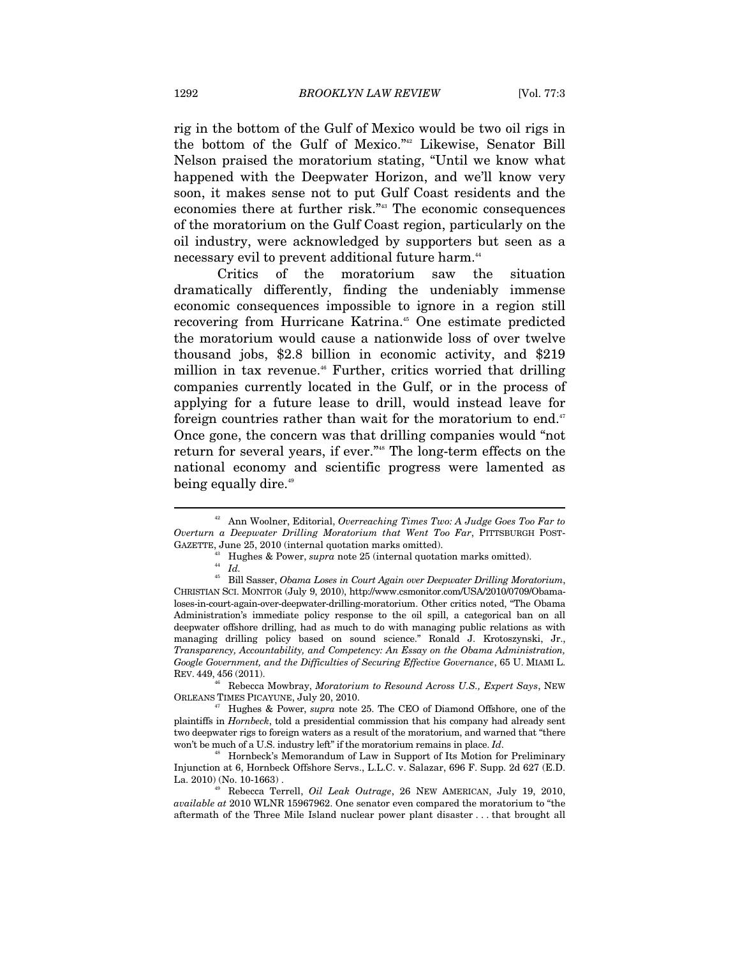rig in the bottom of the Gulf of Mexico would be two oil rigs in the bottom of the Gulf of Mexico."42 Likewise, Senator Bill Nelson praised the moratorium stating, "Until we know what happened with the Deepwater Horizon, and we'll know very soon, it makes sense not to put Gulf Coast residents and the economies there at further risk."43 The economic consequences of the moratorium on the Gulf Coast region, particularly on the oil industry, were acknowledged by supporters but seen as a necessary evil to prevent additional future harm.<sup>44</sup>

Critics of the moratorium saw the situation dramatically differently, finding the undeniably immense economic consequences impossible to ignore in a region still recovering from Hurricane Katrina.<sup>45</sup> One estimate predicted the moratorium would cause a nationwide loss of over twelve thousand jobs, \$2.8 billion in economic activity, and \$219 million in tax revenue.<sup>46</sup> Further, critics worried that drilling companies currently located in the Gulf, or in the process of applying for a future lease to drill, would instead leave for foreign countries rather than wait for the moratorium to end. $47$ Once gone, the concern was that drilling companies would "not return for several years, if ever."48 The long-term effects on the national economy and scientific progress were lamented as being equally dire.<sup>49</sup>

<sup>42</sup> Ann Woolner, Editorial, *Overreaching Times Two: A Judge Goes Too Far to Overturn a Deepwater Drilling Moratorium that Went Too Far*, PITTSBURGH POST-GAZETTE, June 25, 2010 (internal quotation marks omitted).

<sup>43</sup> Hughes & Power, *supra* note 25 (internal quotation marks omitted). 44 *Id.*

<sup>45</sup> Bill Sasser, *Obama Loses in Court Again over Deepwater Drilling Moratorium*, CHRISTIAN SCI. MONITOR (July 9, 2010), http://www.csmonitor.com/USA/2010/0709/Obamaloses-in-court-again-over-deepwater-drilling-moratorium. Other critics noted, "The Obama Administration's immediate policy response to the oil spill, a categorical ban on all deepwater offshore drilling, had as much to do with managing public relations as with managing drilling policy based on sound science." Ronald J. Krotoszynski, Jr., *Transparency, Accountability, and Competency: An Essay on the Obama Administration, Google Government, and the Difficulties of Securing Effective Governance*, 65 U. MIAMI L. REV. 449, 456 (2011).

<sup>46</sup> Rebecca Mowbray, *Moratorium to Resound Across U.S., Expert Says*, NEW

<sup>&</sup>lt;sup>47</sup> Hughes & Power, *supra* note 25. The CEO of Diamond Offshore, one of the plaintiffs in *Hornbeck*, told a presidential commission that his company had already sent two deepwater rigs to foreign waters as a result of the moratorium, and warned that "there won't be much of a U.S. industry left" if the moratorium remains in place.  $Id$ .

<sup>&</sup>lt;sup>48</sup> Hornbeck's Memorandum of Law in Support of Its Motion for Preliminary Injunction at 6, Hornbeck Offshore Servs., L.L.C. v. Salazar, 696 F. Supp. 2d 627 (E.D. La. 2010) (No. 10-1663) . 49 Rebecca Terrell, *Oil Leak Outrage*, 26 NEW AMERICAN, July 19, 2010,

*available at* 2010 WLNR 15967962. One senator even compared the moratorium to "the aftermath of the Three Mile Island nuclear power plant disaster . . . that brought all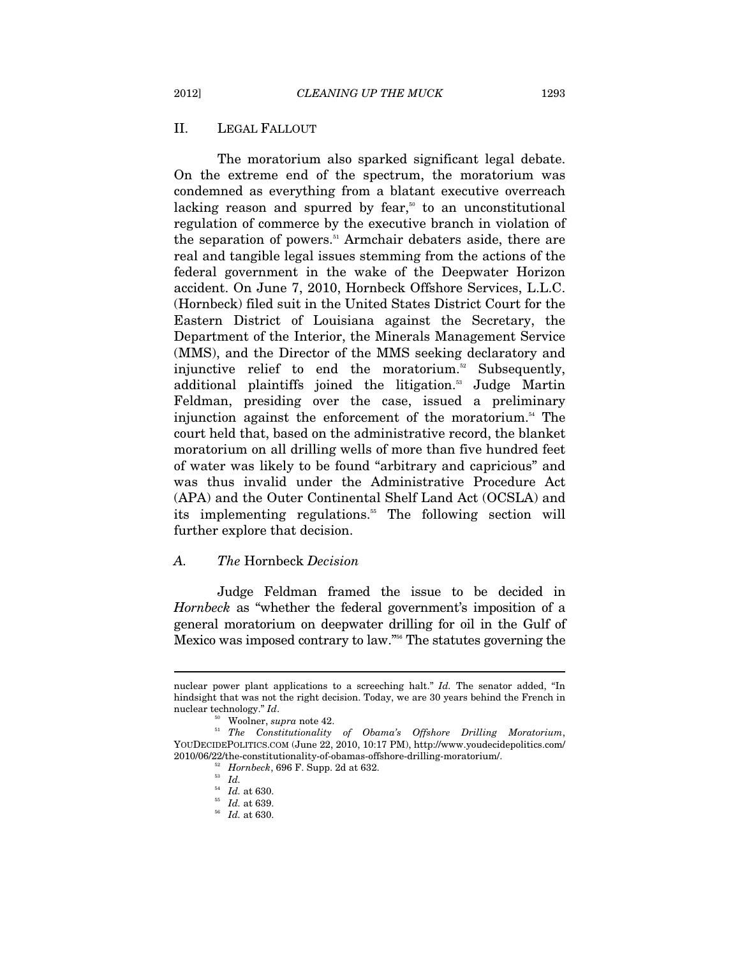## II. LEGAL FALLOUT

The moratorium also sparked significant legal debate. On the extreme end of the spectrum, the moratorium was condemned as everything from a blatant executive overreach lacking reason and spurred by fear,<sup> $50$ </sup> to an unconstitutional regulation of commerce by the executive branch in violation of the separation of powers.<sup>51</sup> Armchair debaters aside, there are real and tangible legal issues stemming from the actions of the federal government in the wake of the Deepwater Horizon accident. On June 7, 2010, Hornbeck Offshore Services, L.L.C. (Hornbeck) filed suit in the United States District Court for the Eastern District of Louisiana against the Secretary, the Department of the Interior, the Minerals Management Service (MMS), and the Director of the MMS seeking declaratory and injunctive relief to end the moratorium.<sup>52</sup> Subsequently, additional plaintiffs joined the litigation.<sup>53</sup> Judge Martin Feldman, presiding over the case, issued a preliminary injunction against the enforcement of the moratorium.<sup>54</sup> The court held that, based on the administrative record, the blanket moratorium on all drilling wells of more than five hundred feet of water was likely to be found "arbitrary and capricious" and was thus invalid under the Administrative Procedure Act (APA) and the Outer Continental Shelf Land Act (OCSLA) and its implementing regulations.<sup>55</sup> The following section will further explore that decision.

## *A. The* Hornbeck *Decision*

Judge Feldman framed the issue to be decided in *Hornbeck* as "whether the federal government's imposition of a general moratorium on deepwater drilling for oil in the Gulf of Mexico was imposed contrary to law."56 The statutes governing the

nuclear power plant applications to a screeching halt." *Id.* The senator added, "In hindsight that was not the right decision. Today, we are 30 years behind the French in

nuclear technology." *Id*.<br><sup>50</sup> Woolner, *supra* note 42.<br><sup>51</sup> *The Constitutionality of Obama's Offshore Drilling Moratorium*, YOUDECIDEPOLITICS.COM (June 22, 2010, 10:17 PM), http://www.youdecidepolitics.com/ 2010/06/22/the-constitutionality-of-obamas-offshore-drilling-moratorium/.<br><sup>52</sup> *Hornbeck*, 696 F. Supp. 2d at 632.<br><sup>54</sup> *Id.* at 630.

<sup>54</sup> *Id.* at 630. 55 *Id.* at 639. 56 *Id.* at 630.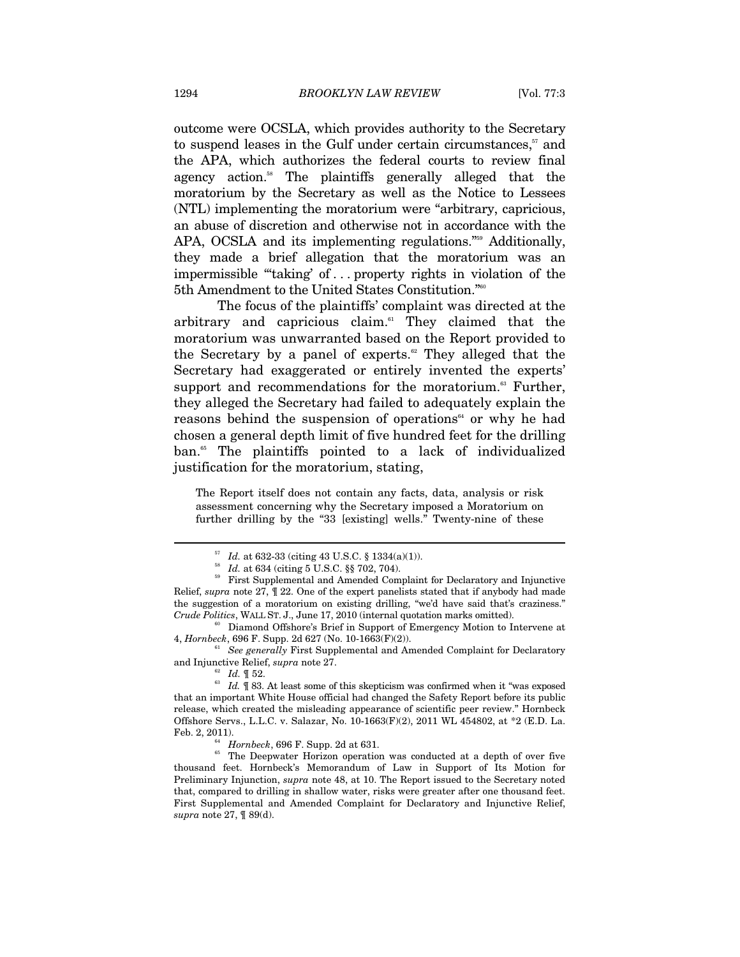outcome were OCSLA, which provides authority to the Secretary to suspend leases in the Gulf under certain circumstances, $57$  and the APA, which authorizes the federal courts to review final agency action.58 The plaintiffs generally alleged that the moratorium by the Secretary as well as the Notice to Lessees (NTL) implementing the moratorium were "arbitrary, capricious, an abuse of discretion and otherwise not in accordance with the APA, OCSLA and its implementing regulations."<sup>559</sup> Additionally, they made a brief allegation that the moratorium was an impermissible "'taking' of . . . property rights in violation of the 5th Amendment to the United States Constitution."60

The focus of the plaintiffs' complaint was directed at the arbitrary and capricious claim.61 They claimed that the moratorium was unwarranted based on the Report provided to the Secretary by a panel of experts.<sup>62</sup> They alleged that the Secretary had exaggerated or entirely invented the experts' support and recommendations for the moratorium.<sup>63</sup> Further, they alleged the Secretary had failed to adequately explain the reasons behind the suspension of operations<sup>64</sup> or why he had chosen a general depth limit of five hundred feet for the drilling ban.<sup>65</sup> The plaintiffs pointed to a lack of individualized justification for the moratorium, stating,

The Report itself does not contain any facts, data, analysis or risk assessment concerning why the Secretary imposed a Moratorium on further drilling by the "33 [existing] wells." Twenty-nine of these

*See generally* First Supplemental and Amended Complaint for Declaratory

 $_{57}^{57}$  Id. at 632-33 (citing 43 U.S.C. § 1334(a)(1)).<br> $_{58}^{58}$ Id. at 634 (citing 5 U.S.C. §§ 702, 704).<br> $_{59}^{59}$  First Supplemental and Amended Complaint for Declaratory and Injunctive Relief, *supra* note 27, ¶ 22. One of the expert panelists stated that if anybody had made the suggestion of a moratorium on existing drilling, "we'd have said that's craziness."

*Crude Politics*, WALL ST. J., June 17, 2010 (internal quotation marks omitted).<br><sup>60</sup> Diamond Offshore's Brief in Support of Emergency Motion to Intervene at 4, *Hornbeck*, 696 F. Supp. 2d 627 (No. 10-1663(F)(2)).

and Injunctive Relief, *supra* note 27.<br><sup>62</sup> *Id.* ¶ 52.<br><sup>63</sup> *Id.* ¶ 83. At least some of this skepticism was confirmed when it "was exposed that an important White House official had changed the Safety Report before its public release, which created the misleading appearance of scientific peer review." Hornbeck Offshore Servs., L.L.C. v. Salazar, No. 10-1663(F)(2), 2011 WL 454802, at \*2 (E.D. La.

Feb. 2, 2011).<br><sup>64</sup> *Hornbeck*, 696 F. Supp. 2d at 631.<br><sup>65</sup> The Deepwater Horizon operation was conducted at a depth of over five thousand feet. Hornbeck's Memorandum of Law in Support of Its Motion for Preliminary Injunction, *supra* note 48, at 10. The Report issued to the Secretary noted that, compared to drilling in shallow water, risks were greater after one thousand feet. First Supplemental and Amended Complaint for Declaratory and Injunctive Relief, *supra* note 27, ¶ 89(d).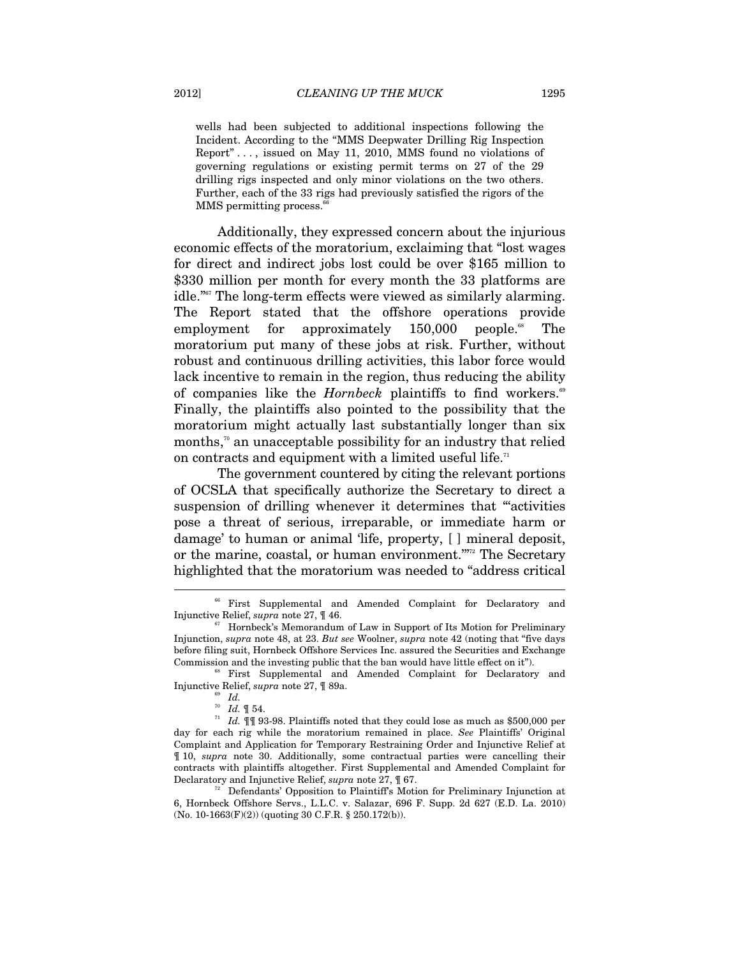wells had been subjected to additional inspections following the Incident. According to the "MMS Deepwater Drilling Rig Inspection Report" . . . , issued on May 11, 2010, MMS found no violations of governing regulations or existing permit terms on 27 of the 29 drilling rigs inspected and only minor violations on the two others. Further, each of the 33 rigs had previously satisfied the rigors of the MMS permitting process.<sup>6</sup>

Additionally, they expressed concern about the injurious economic effects of the moratorium, exclaiming that "lost wages for direct and indirect jobs lost could be over \$165 million to \$330 million per month for every month the 33 platforms are idle."67 The long-term effects were viewed as similarly alarming. The Report stated that the offshore operations provide employment for approximately  $150,000$  people.<sup>88</sup> The moratorium put many of these jobs at risk. Further, without robust and continuous drilling activities, this labor force would lack incentive to remain in the region, thus reducing the ability of companies like the *Hornbeck* plaintiffs to find workers.<sup>69</sup> Finally, the plaintiffs also pointed to the possibility that the moratorium might actually last substantially longer than six months,<sup> $\pi$ </sup> an unacceptable possibility for an industry that relied on contracts and equipment with a limited useful life.<sup>71</sup>

The government countered by citing the relevant portions of OCSLA that specifically authorize the Secretary to direct a suspension of drilling whenever it determines that "activities" pose a threat of serious, irreparable, or immediate harm or damage' to human or animal 'life, property, [ ] mineral deposit, or the marine, coastal, or human environment."<sup>772</sup> The Secretary highlighted that the moratorium was needed to "address critical  $\overline{a}$ 

<sup>&</sup>lt;sup>66</sup> First Supplemental and Amended Complaint for Declaratory and Injunctive Relief, *supra* note 27,  $\parallel$  46.<br><sup>67</sup> Hornbeck's Memorandum of Law in Support of Its Motion for Preliminary

Injunction, *supra* note 48, at 23. *But see* Woolner, *supra* note 42 (noting that "five days before filing suit, Hornbeck Offshore Services Inc. assured the Securities and Exchange Commission and the investing public that the ban would have little effect on it").<br><sup>68</sup> First Supplemental and Amended Complaint for Declaratory and

Injunctive Relief, *supra* note 27,  $\P$  89a.<br><sup>70</sup> *Id.*  $\P$  54.

 $\frac{71}{10}$  *Id.*  $\frac{93}{9}$  93-98. Plaintiffs noted that they could lose as much as \$500,000 per day for each rig while the moratorium remained in place. *See* Plaintiffs' Original Complaint and Application for Temporary Restraining Order and Injunctive Relief at ¶ 10, *supra* note 30. Additionally, some contractual parties were cancelling their contracts with plaintiffs altogether. First Supplemental and Amended Complaint for Declaratory and Injunctive Relief, *supra* note 27, ¶ 67.<br><sup>72</sup> Defendants' Opposition to Plaintiff's Motion for Preliminary Injunction at

<sup>6,</sup> Hornbeck Offshore Servs., L.L.C. v. Salazar, 696 F. Supp. 2d 627 (E.D. La. 2010) (No. 10-1663(F)(2)) (quoting 30 C.F.R. § 250.172(b)).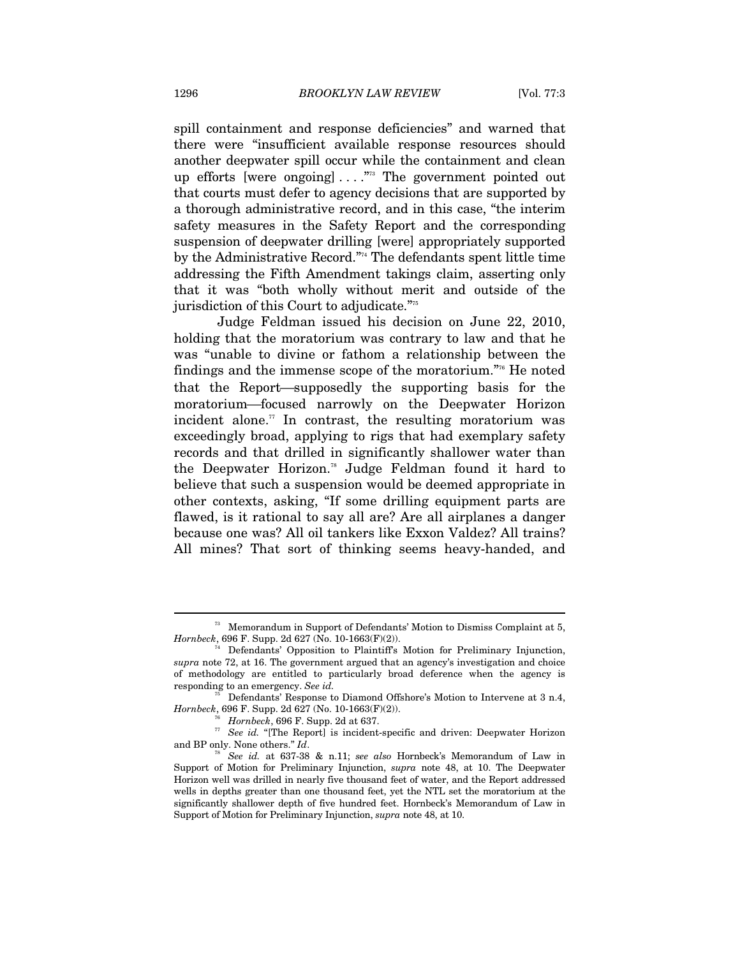spill containment and response deficiencies" and warned that there were "insufficient available response resources should another deepwater spill occur while the containment and clean up efforts [were ongoing] ...."<sup>73</sup> The government pointed out that courts must defer to agency decisions that are supported by a thorough administrative record, and in this case, "the interim safety measures in the Safety Report and the corresponding suspension of deepwater drilling [were] appropriately supported by the Administrative Record."74 The defendants spent little time addressing the Fifth Amendment takings claim, asserting only that it was "both wholly without merit and outside of the jurisdiction of this Court to adjudicate."75

Judge Feldman issued his decision on June 22, 2010, holding that the moratorium was contrary to law and that he was "unable to divine or fathom a relationship between the findings and the immense scope of the moratorium."76 He noted that the Report—supposedly the supporting basis for the moratorium—focused narrowly on the Deepwater Horizon incident alone.<sup> $\pi$ </sup> In contrast, the resulting moratorium was exceedingly broad, applying to rigs that had exemplary safety records and that drilled in significantly shallower water than the Deepwater Horizon.78 Judge Feldman found it hard to believe that such a suspension would be deemed appropriate in other contexts, asking, "If some drilling equipment parts are flawed, is it rational to say all are? Are all airplanes a danger because one was? All oil tankers like Exxon Valdez? All trains? All mines? That sort of thinking seems heavy-handed, and

 $^{73}\;$  Memorandum in Support of Defendants' Motion to Dismiss Complaint at 5, *Hornbeck*, 696 F. Supp. 2d 627 (No. 10-1663(F)(2)).

Defendants' Opposition to Plaintiff's Motion for Preliminary Injunction, *supra* note 72, at 16. The government argued that an agency's investigation and choice of methodology are entitled to particularly broad deference when the agency is responding to an emergency. *See id.*

Defendants' Response to Diamond Offshore's Motion to Intervene at 3 n.4, *Hornbeck*, 696 F. Supp. 2d 627 (No. 10-1663(F)(2)).

<sup>&</sup>lt;sup>76</sup> *Hornbeck*, 696 F. Supp. 2d at 637. *<sup>77</sup> See id.* "[The Report] is incident-specific and driven: Deepwater Horizon and BP only. None others." *Id.* 

<sup>&</sup>lt;sup>78</sup> See id. at 637-38 & n.11; *see also* Hornbeck's Memorandum of Law in Support of Motion for Preliminary Injunction, *supra* note 48, at 10. The Deepwater Horizon well was drilled in nearly five thousand feet of water, and the Report addressed wells in depths greater than one thousand feet, yet the NTL set the moratorium at the significantly shallower depth of five hundred feet. Hornbeck's Memorandum of Law in Support of Motion for Preliminary Injunction, *supra* note 48, at 10.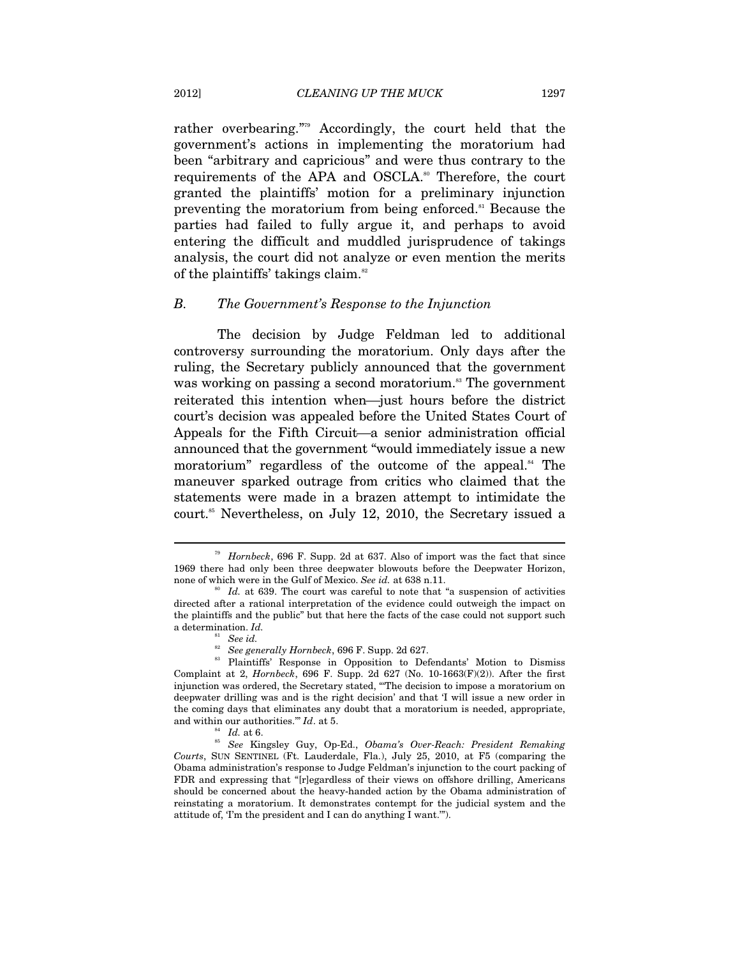rather overbearing."79 Accordingly, the court held that the government's actions in implementing the moratorium had been "arbitrary and capricious" and were thus contrary to the requirements of the APA and OSCLA.<sup>80</sup> Therefore, the court granted the plaintiffs' motion for a preliminary injunction preventing the moratorium from being enforced.<sup>81</sup> Because the parties had failed to fully argue it, and perhaps to avoid entering the difficult and muddled jurisprudence of takings analysis, the court did not analyze or even mention the merits of the plaintiffs' takings claim.<sup>82</sup>

#### *B. The Government's Response to the Injunction*

The decision by Judge Feldman led to additional controversy surrounding the moratorium. Only days after the ruling, the Secretary publicly announced that the government was working on passing a second moratorium.<sup>83</sup> The government reiterated this intention when—just hours before the district court's decision was appealed before the United States Court of Appeals for the Fifth Circuit—a senior administration official announced that the government "would immediately issue a new moratorium" regardless of the outcome of the appeal.<sup>84</sup> The maneuver sparked outrage from critics who claimed that the statements were made in a brazen attempt to intimidate the court.<sup>85</sup> Nevertheless, on July 12, 2010, the Secretary issued a

<sup>79</sup> *Hornbeck*, 696 F. Supp. 2d at 637. Also of import was the fact that since 1969 there had only been three deepwater blowouts before the Deepwater Horizon, none of which were in the Gulf of Mexico. *See id.* at 638 n.11.<br><sup>80</sup> *Id.* at 639. The court was careful to note that "a suspension of activities"

directed after a rational interpretation of the evidence could outweigh the impact on the plaintiffs and the public" but that here the facts of the case could not support such a determination. *Id.* 

<sup>&</sup>lt;sup>81</sup> See *id.*<br><sup>82</sup> See generally Hornbeck, 696 F. Supp. 2d 627.<br><sup>83</sup> Plaintiffs' Response in Opposition to Defendants' Motion to Dismiss Complaint at 2, *Hornbeck*, 696 F. Supp. 2d 627 (No. 10-1663(F)(2)). After the first injunction was ordered, the Secretary stated, "'The decision to impose a moratorium on deepwater drilling was and is the right decision' and that 'I will issue a new order in the coming days that eliminates any doubt that a moratorium is needed, appropriate, and within our authorities."" *Id.* at 5.<br><sup>85</sup> *Id.* at 6.<br><sup>85</sup> *See* Kingsley Guy, Op-Ed., *Obama's Over-Reach: President Remaking* 

*Courts*, SUN SENTINEL (Ft. Lauderdale, Fla.), July 25, 2010, at F5 (comparing the Obama administration's response to Judge Feldman's injunction to the court packing of FDR and expressing that "[r]egardless of their views on offshore drilling, Americans should be concerned about the heavy-handed action by the Obama administration of reinstating a moratorium. It demonstrates contempt for the judicial system and the attitude of, 'I'm the president and I can do anything I want.'").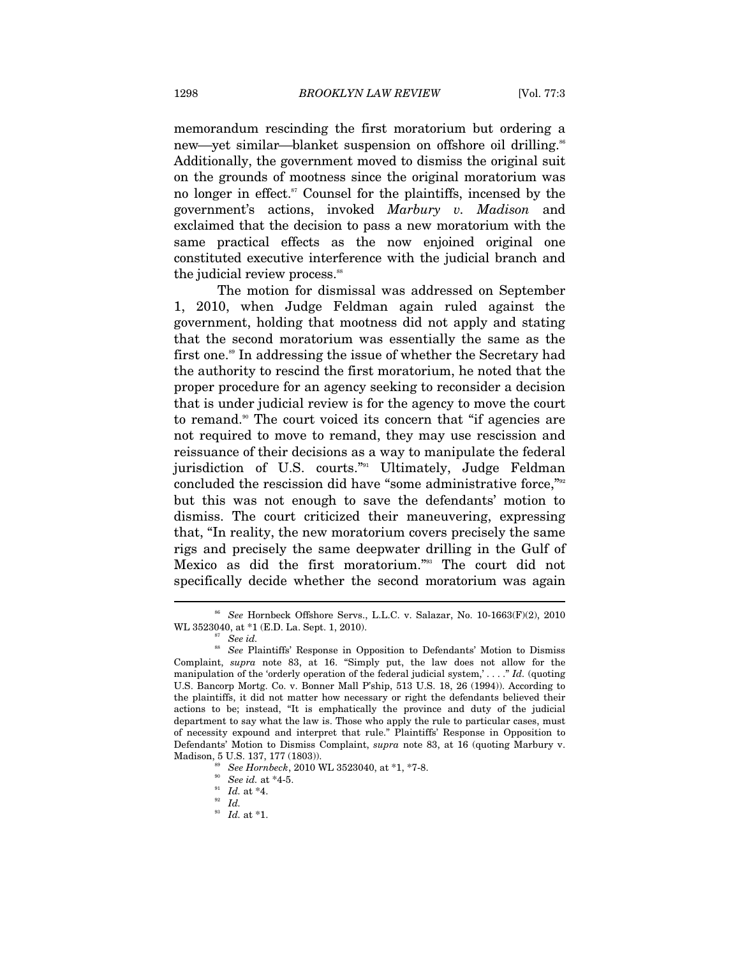memorandum rescinding the first moratorium but ordering a new—yet similar—blanket suspension on offshore oil drilling.<sup>86</sup> Additionally, the government moved to dismiss the original suit on the grounds of mootness since the original moratorium was no longer in effect.<sup>87</sup> Counsel for the plaintiffs, incensed by the government's actions, invoked *Marbury v. Madison* and exclaimed that the decision to pass a new moratorium with the same practical effects as the now enjoined original one constituted executive interference with the judicial branch and the judicial review process.<sup>88</sup>

The motion for dismissal was addressed on September 1, 2010, when Judge Feldman again ruled against the government, holding that mootness did not apply and stating that the second moratorium was essentially the same as the first one.<sup>89</sup> In addressing the issue of whether the Secretary had the authority to rescind the first moratorium, he noted that the proper procedure for an agency seeking to reconsider a decision that is under judicial review is for the agency to move the court to remand.<sup>90</sup> The court voiced its concern that "if agencies are not required to move to remand, they may use rescission and reissuance of their decisions as a way to manipulate the federal jurisdiction of U.S. courts."<sup>91</sup> Ultimately, Judge Feldman concluded the rescission did have "some administrative force,"<sup>992</sup> but this was not enough to save the defendants' motion to dismiss. The court criticized their maneuvering, expressing that, "In reality, the new moratorium covers precisely the same rigs and precisely the same deepwater drilling in the Gulf of Mexico as did the first moratorium."93 The court did not specifically decide whether the second moratorium was again

<sup>86</sup> *See* Hornbeck Offshore Servs., L.L.C. v. Salazar, No. 10-1663(F)(2), 2010 WL 3523040, at \*1 (E.D. La. Sept. 1, 2010).<br><sup>87</sup> *See id.* 88 *See* Plaintiffs' Response in Opposition to Defendants' Motion to Dismiss

Complaint, *supra* note 83, at 16. "Simply put, the law does not allow for the manipulation of the 'orderly operation of the federal judicial system,' . . . ." *Id.* (quoting U.S. Bancorp Mortg. Co. v. Bonner Mall P'ship, 513 U.S. 18, 26 (1994)). According to the plaintiffs, it did not matter how necessary or right the defendants believed their actions to be; instead, "It is emphatically the province and duty of the judicial department to say what the law is. Those who apply the rule to particular cases, must of necessity expound and interpret that rule." Plaintiffs' Response in Opposition to Defendants' Motion to Dismiss Complaint, *supra* note 83, at 16 (quoting Marbury v. Madison, 5 U.S. 137, 177 (1803)).<br>
<sup>89</sup> *See Hornbeck*, 2010 WL 3523040, at \*1, \*7-8.<br>
<sup>90</sup> *See id.* at \*4-5.<br>
<sup>91</sup> *Id.* at \*4.<br> *Id.* 

<sup>93</sup> *Id.* at \*1.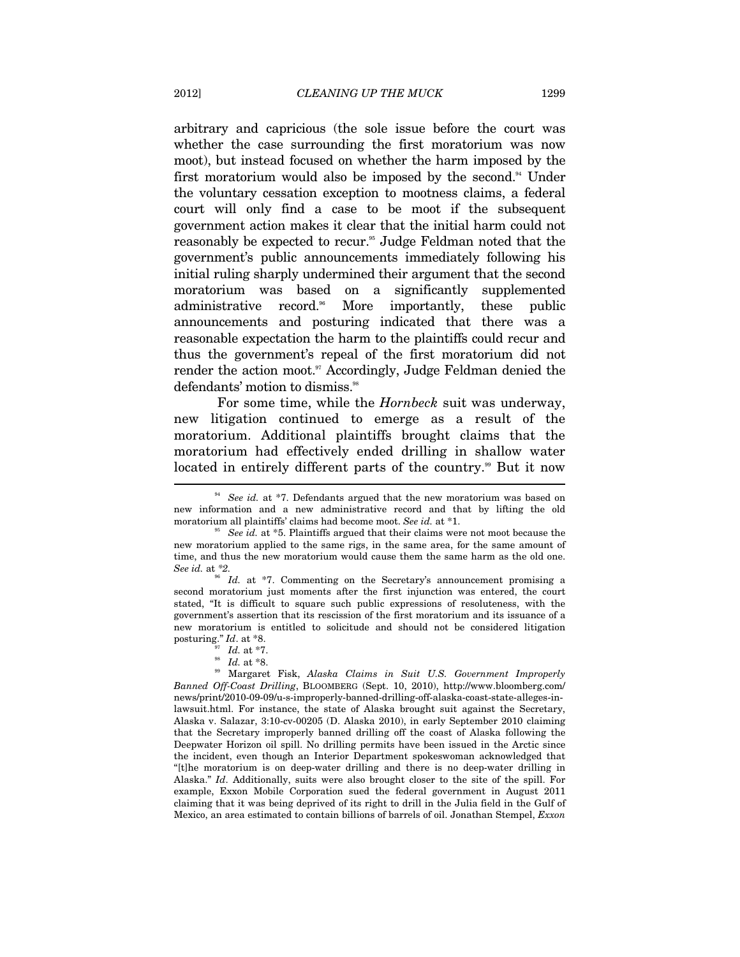arbitrary and capricious (the sole issue before the court was whether the case surrounding the first moratorium was now moot), but instead focused on whether the harm imposed by the first moratorium would also be imposed by the second.<sup>94</sup> Under the voluntary cessation exception to mootness claims, a federal court will only find a case to be moot if the subsequent government action makes it clear that the initial harm could not reasonably be expected to recur.<sup>95</sup> Judge Feldman noted that the government's public announcements immediately following his initial ruling sharply undermined their argument that the second moratorium was based on a significantly supplemented administrative record.<sup>96</sup> More importantly, these public announcements and posturing indicated that there was a reasonable expectation the harm to the plaintiffs could recur and thus the government's repeal of the first moratorium did not render the action moot.<sup>97</sup> Accordingly, Judge Feldman denied the defendants' motion to dismiss.<sup>98</sup>

For some time, while the *Hornbeck* suit was underway, new litigation continued to emerge as a result of the moratorium. Additional plaintiffs brought claims that the moratorium had effectively ended drilling in shallow water located in entirely different parts of the country.<sup>99</sup> But it now

*Id.* at \*7. Commenting on the Secretary's announcement promising a second moratorium just moments after the first injunction was entered, the court stated, "It is difficult to square such public expressions of resoluteness, with the government's assertion that its rescission of the first moratorium and its issuance of a new moratorium is entitled to solicitude and should not be considered litigation posturing." *Id.* at \*8.<br><sup>97</sup> *Id.* at \*7.<br><sup>98</sup> *Id.* at \*8.<br><sup>99</sup> Margaret Fisk, *Alaska Claims in Suit U.S. Government Improperly* 

<sup>&</sup>lt;sup>94</sup> See id. at \*7. Defendants argued that the new moratorium was based on new information and a new administrative record and that by lifting the old moratorium all plaintiffs' claims had become moot. *See id.* at \*1.<br><sup>95</sup> See *id.* at \*5. Plaintiffs argued that their claims were not moot because the

new moratorium applied to the same rigs, in the same area, for the same amount of time, and thus the new moratorium would cause them the same harm as the old one.<br>See id. at  $*2$ .

*Banned Off-Coast Drilling*, BLOOMBERG (Sept. 10, 2010), http://www.bloomberg.com/ news/print/2010-09-09/u-s-improperly-banned-drilling-off-alaska-coast-state-alleges-inlawsuit.html. For instance, the state of Alaska brought suit against the Secretary, Alaska v. Salazar, 3:10-cv-00205 (D. Alaska 2010), in early September 2010 claiming that the Secretary improperly banned drilling off the coast of Alaska following the Deepwater Horizon oil spill. No drilling permits have been issued in the Arctic since the incident, even though an Interior Department spokeswoman acknowledged that "[t]he moratorium is on deep-water drilling and there is no deep-water drilling in Alaska." *Id*. Additionally, suits were also brought closer to the site of the spill. For example, Exxon Mobile Corporation sued the federal government in August 2011 claiming that it was being deprived of its right to drill in the Julia field in the Gulf of Mexico, an area estimated to contain billions of barrels of oil. Jonathan Stempel, *Exxon*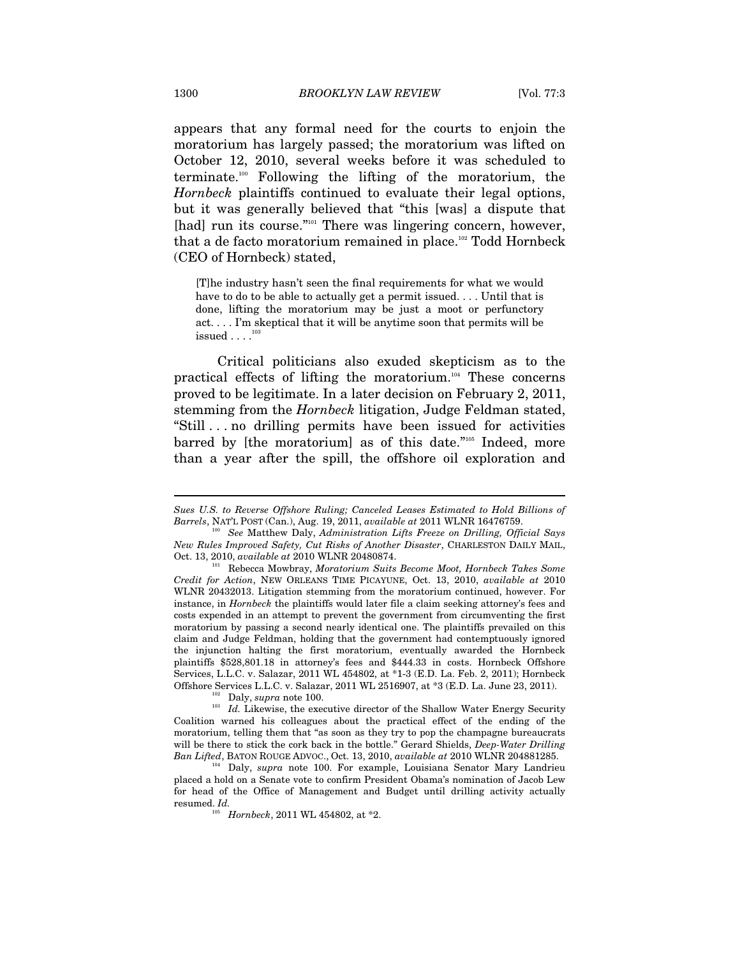appears that any formal need for the courts to enjoin the moratorium has largely passed; the moratorium was lifted on October 12, 2010, several weeks before it was scheduled to terminate.100 Following the lifting of the moratorium, the *Hornbeck* plaintiffs continued to evaluate their legal options, but it was generally believed that "this [was] a dispute that [had] run its course."<sup>101</sup> There was lingering concern, however, that a de facto moratorium remained in place.<sup>102</sup> Todd Hornbeck (CEO of Hornbeck) stated,

[T]he industry hasn't seen the final requirements for what we would have to do to be able to actually get a permit issued... Until that is done, lifting the moratorium may be just a moot or perfunctory act. . . . I'm skeptical that it will be anytime soon that permits will be  $is sued \dots$  $^{103}$ 

Critical politicians also exuded skepticism as to the practical effects of lifting the moratorium.104 These concerns proved to be legitimate. In a later decision on February 2, 2011, stemming from the *Hornbeck* litigation, Judge Feldman stated, "Still . . . no drilling permits have been issued for activities barred by [the moratorium] as of this date."<sup>105</sup> Indeed, more than a year after the spill, the offshore oil exploration and

Coalition warned his colleagues about the practical effect of the ending of the moratorium, telling them that "as soon as they try to pop the champagne bureaucrats will be there to stick the cork back in the bottle." Gerard Shields, *Deep-Water Drilling* 

<sup>4</sup> Daly, *supra* note 100. For example, Louisiana Senator Mary Landrieu placed a hold on a Senate vote to confirm President Obama's nomination of Jacob Lew for head of the Office of Management and Budget until drilling activity actually resumed. *Id.* 105 *Hornbeck*, 2011 WL 454802, at \*2.

*Sues U.S. to Reverse Offshore Ruling; Canceled Leases Estimated to Hold Billions of Barrels*, NAT'L POST (Can.), Aug. 19, 2011, *available at* 2011 WLNR 16476759. 100 *See* Matthew Daly, *Administration Lifts Freeze on Drilling, Official Says* 

*New Rules Improved Safety, Cut Risks of Another Disaster*, CHARLESTON DAILY MAIL,

Rebecca Mowbray, *Moratorium Suits Become Moot, Hornbeck Takes Some Credit for Action*, NEW ORLEANS TIME PICAYUNE, Oct. 13, 2010, *available at* 2010 WLNR 20432013. Litigation stemming from the moratorium continued, however. For instance, in *Hornbeck* the plaintiffs would later file a claim seeking attorney's fees and costs expended in an attempt to prevent the government from circumventing the first moratorium by passing a second nearly identical one. The plaintiffs prevailed on this claim and Judge Feldman, holding that the government had contemptuously ignored the injunction halting the first moratorium, eventually awarded the Hornbeck plaintiffs \$528,801.18 in attorney's fees and \$444.33 in costs. Hornbeck Offshore Services, L.L.C. v. Salazar, 2011 WL 454802, at \*1-3 (E.D. La. Feb. 2, 2011); Hornbeck Offshore Services L.L.C. v. Salazar, 2011 WL 2516907, at \*3 (E.D. La. June 23, 2011).<br><sup>102</sup> Daly, *supra* note 100.<br><sup>103</sup> Id. Likewise, the executive director of the Shallow Water Energy Security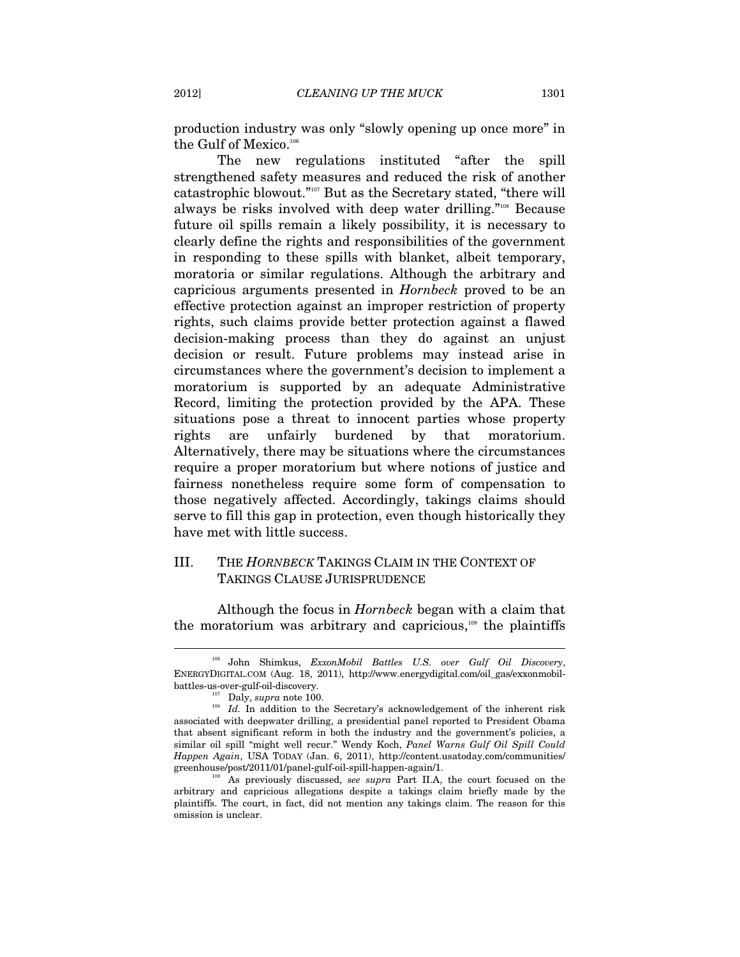production industry was only "slowly opening up once more" in the Gulf of Mexico.<sup>106</sup>

The new regulations instituted "after the spill strengthened safety measures and reduced the risk of another catastrophic blowout."107 But as the Secretary stated, "there will always be risks involved with deep water drilling."108 Because future oil spills remain a likely possibility, it is necessary to clearly define the rights and responsibilities of the government in responding to these spills with blanket, albeit temporary, moratoria or similar regulations. Although the arbitrary and capricious arguments presented in *Hornbeck* proved to be an effective protection against an improper restriction of property rights, such claims provide better protection against a flawed decision-making process than they do against an unjust decision or result. Future problems may instead arise in circumstances where the government's decision to implement a moratorium is supported by an adequate Administrative Record, limiting the protection provided by the APA. These situations pose a threat to innocent parties whose property rights are unfairly burdened by that moratorium. Alternatively, there may be situations where the circumstances require a proper moratorium but where notions of justice and fairness nonetheless require some form of compensation to those negatively affected. Accordingly, takings claims should serve to fill this gap in protection, even though historically they have met with little success.

# III. THE *HORNBECK* TAKINGS CLAIM IN THE CONTEXT OF TAKINGS CLAUSE JURISPRUDENCE

Although the focus in *Hornbeck* began with a claim that the moratorium was arbitrary and capricious, $109$  the plaintiffs

<sup>106</sup> John Shimkus, *ExxonMobil Battles U.S. over Gulf Oil Discovery*, ENERGYDIGITAL.COM (Aug. 18, 2011), http://www.energydigital.com/oil\_gas/exxonmobil-

<sup>%</sup>battles-us-over-gulf-oil-discovery.<br><sup>107</sup> Daly, *supra* note 100. <sup>108</sup> *Id.* In addition to the Secretary's acknowledgement of the inherent risk associated with deepwater drilling, a presidential panel reported to President Obama that absent significant reform in both the industry and the government's policies, a similar oil spill "might well recur." Wendy Koch, *Panel Warns Gulf Oil Spill Could Happen Again*, USA TODAY (Jan. 6, 2011), http://content.usatoday.com/communities/ greenhouse/post/2011/01/panel-gulf-oil-spill-happen-again/1. 109 As previously discussed, *see supra* Part II.A, the court focused on the

arbitrary and capricious allegations despite a takings claim briefly made by the plaintiffs. The court, in fact, did not mention any takings claim. The reason for this omission is unclear.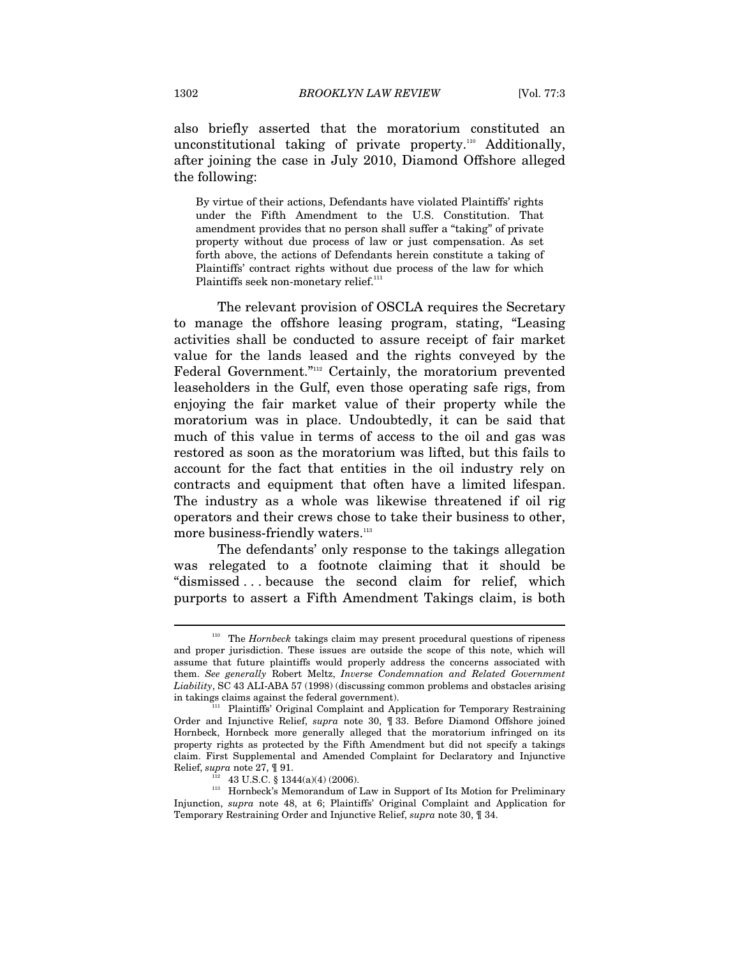also briefly asserted that the moratorium constituted an unconstitutional taking of private property.<sup>110</sup> Additionally, after joining the case in July 2010, Diamond Offshore alleged the following:

By virtue of their actions, Defendants have violated Plaintiffs' rights under the Fifth Amendment to the U.S. Constitution. That amendment provides that no person shall suffer a "taking" of private property without due process of law or just compensation. As set forth above, the actions of Defendants herein constitute a taking of Plaintiffs' contract rights without due process of the law for which Plaintiffs seek non-monetary relief.<sup>111</sup>

The relevant provision of OSCLA requires the Secretary to manage the offshore leasing program, stating, "Leasing activities shall be conducted to assure receipt of fair market value for the lands leased and the rights conveyed by the Federal Government."112 Certainly, the moratorium prevented leaseholders in the Gulf, even those operating safe rigs, from enjoying the fair market value of their property while the moratorium was in place. Undoubtedly, it can be said that much of this value in terms of access to the oil and gas was restored as soon as the moratorium was lifted, but this fails to account for the fact that entities in the oil industry rely on contracts and equipment that often have a limited lifespan. The industry as a whole was likewise threatened if oil rig operators and their crews chose to take their business to other, more business-friendly waters.<sup>113</sup>

The defendants' only response to the takings allegation was relegated to a footnote claiming that it should be "dismissed . . . because the second claim for relief, which purports to assert a Fifth Amendment Takings claim, is both

<sup>110</sup> The *Hornbeck* takings claim may present procedural questions of ripeness and proper jurisdiction. These issues are outside the scope of this note, which will assume that future plaintiffs would properly address the concerns associated with them. *See generally* Robert Meltz, *Inverse Condemnation and Related Government Liability*, SC 43 ALI-ABA 57 (1998) (discussing common problems and obstacles arising in takings claims against the federal government).<br><sup>111</sup> Plaintiffs' Original Complaint and Application for Temporary Restraining

Order and Injunctive Relief, *supra* note 30, ¶ 33. Before Diamond Offshore joined Hornbeck, Hornbeck more generally alleged that the moratorium infringed on its property rights as protected by the Fifth Amendment but did not specify a takings claim. First Supplemental and Amended Complaint for Declaratory and Injunctive

Relief, *supra* note 27, ¶ 91.<br><sup>112</sup> 43 U.S.C. § 1344(a)(4) (2006).<br><sup>113</sup> Hornbeck's Memorandum of Law in Support of Its Motion for Preliminary Injunction, *supra* note 48, at 6; Plaintiffs' Original Complaint and Application for Temporary Restraining Order and Injunctive Relief, *supra* note 30, ¶ 34.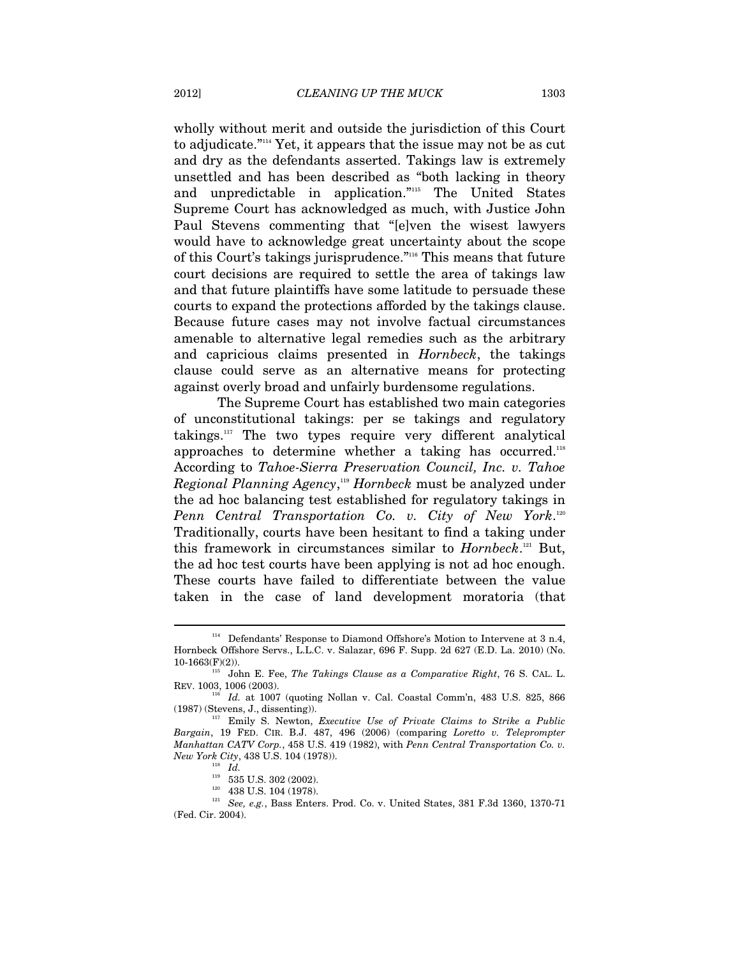wholly without merit and outside the jurisdiction of this Court to adjudicate."114 Yet, it appears that the issue may not be as cut and dry as the defendants asserted. Takings law is extremely unsettled and has been described as "both lacking in theory and unpredictable in application."115 The United States Supreme Court has acknowledged as much, with Justice John Paul Stevens commenting that "[e]ven the wisest lawyers would have to acknowledge great uncertainty about the scope of this Court's takings jurisprudence."116 This means that future court decisions are required to settle the area of takings law and that future plaintiffs have some latitude to persuade these courts to expand the protections afforded by the takings clause. Because future cases may not involve factual circumstances amenable to alternative legal remedies such as the arbitrary and capricious claims presented in *Hornbeck*, the takings clause could serve as an alternative means for protecting against overly broad and unfairly burdensome regulations.

The Supreme Court has established two main categories of unconstitutional takings: per se takings and regulatory takings.117 The two types require very different analytical approaches to determine whether a taking has occurred.118 According to *Tahoe-Sierra Preservation Council, Inc. v. Tahoe Regional Planning Agency*, <sup>119</sup> *Hornbeck* must be analyzed under the ad hoc balancing test established for regulatory takings in *Penn Central Transportation Co. v. City of New York*. 120 Traditionally, courts have been hesitant to find a taking under this framework in circumstances similar to *Hornbeck*. 121 But, the ad hoc test courts have been applying is not ad hoc enough. These courts have failed to differentiate between the value taken in the case of land development moratoria (that

<sup>114</sup> Defendants' Response to Diamond Offshore's Motion to Intervene at 3 n.4, Hornbeck Offshore Servs., L.L.C. v. Salazar, 696 F. Supp. 2d 627 (E.D. La. 2010) (No. 10-1663 $(F)(2)$ ). <sup>115</sup> John E. Fee, *The Takings Clause as a Comparative Right*, 76 S. CAL. L.

REV. 1003, 1006 (2003). 116 *Id.* at 1007 (quoting Nollan v. Cal. Coastal Comm'n, 483 U.S. 825, 866

<sup>(1987) (</sup>Stevens, J., dissenting)). 117 Emily S. Newton, *Executive Use of Private Claims to Strike a Public* 

*Bargain*, 19 FED. CIR. B.J. 487, 496 (2006) (comparing *Loretto v. Teleprompter Manhattan CATV Corp.*, 458 U.S. 419 (1982), with *Penn Central Transportation Co. v.* 

*New York City*, 138 *Id.* 119 *Id.* 119 535 U.S. 302 (2002). 119 535 U.S. 104 (1978). 121 *See, e.g.*, Bass Enters. Prod. Co. v. United States, 381 F.3d 1360, 1370-71 (Fed. Cir. 2004).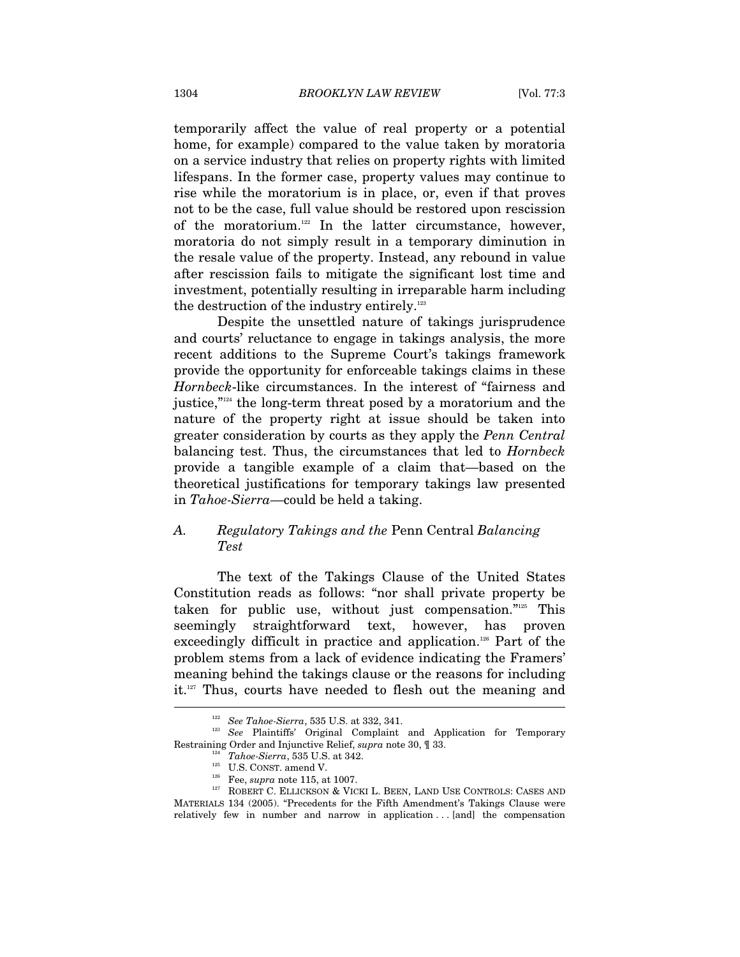temporarily affect the value of real property or a potential home, for example) compared to the value taken by moratoria on a service industry that relies on property rights with limited lifespans. In the former case, property values may continue to rise while the moratorium is in place, or, even if that proves not to be the case, full value should be restored upon rescission of the moratorium.<sup>122</sup> In the latter circumstance, however, moratoria do not simply result in a temporary diminution in the resale value of the property. Instead, any rebound in value after rescission fails to mitigate the significant lost time and investment, potentially resulting in irreparable harm including the destruction of the industry entirely.<sup>123</sup>

Despite the unsettled nature of takings jurisprudence and courts' reluctance to engage in takings analysis, the more recent additions to the Supreme Court's takings framework provide the opportunity for enforceable takings claims in these *Hornbeck*-like circumstances. In the interest of "fairness and justice,"124 the long-term threat posed by a moratorium and the nature of the property right at issue should be taken into greater consideration by courts as they apply the *Penn Central*  balancing test. Thus, the circumstances that led to *Hornbeck* provide a tangible example of a claim that—based on the theoretical justifications for temporary takings law presented in *Tahoe-Sierra*—could be held a taking.

# *A. Regulatory Takings and the* Penn Central *Balancing Test*

The text of the Takings Clause of the United States Constitution reads as follows: "nor shall private property be taken for public use, without just compensation."125 This seemingly straightforward text, however, has proven exceedingly difficult in practice and application.126 Part of the problem stems from a lack of evidence indicating the Framers' meaning behind the takings clause or the reasons for including it.127 Thus, courts have needed to flesh out the meaning and

<sup>122</sup> *See Tahoe-Sierra*, 535 U.S. at 332, 341. 123 *See* Plaintiffs' Original Complaint and Application for Temporary

Restraining Order and Injunctive Relief, *supra* note 30, ¶ 33. 124 *Tahoe-Sierra*, 535 U.S. at 342. 125 U.S. CONST. amend V. 126 Fee, *supra* note 115, at 1007. 127 ROBERT C. ELLICKSON & VICKI L. BEEN, LAND USE CONTROLS: CASES AND MATERIALS 134 (2005). "Precedents for the Fifth Amendment's Takings Clause were relatively few in number and narrow in application . . . [and] the compensation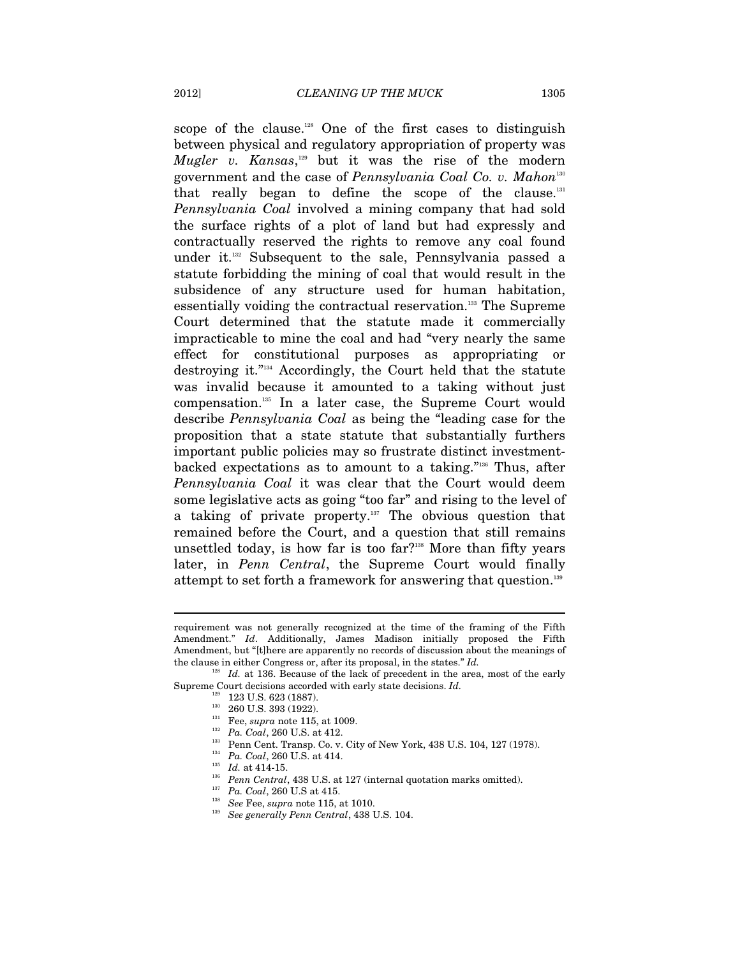scope of the clause.<sup>128</sup> One of the first cases to distinguish between physical and regulatory appropriation of property was *Mugler v. Kansas*,<sup>129</sup> but it was the rise of the modern government and the case of *Pennsylvania Coal Co. v. Mahon*<sup>130</sup> that really began to define the scope of the clause.<sup>131</sup> *Pennsylvania Coal* involved a mining company that had sold the surface rights of a plot of land but had expressly and contractually reserved the rights to remove any coal found under it.132 Subsequent to the sale, Pennsylvania passed a statute forbidding the mining of coal that would result in the subsidence of any structure used for human habitation, essentially voiding the contractual reservation.<sup>133</sup> The Supreme Court determined that the statute made it commercially impracticable to mine the coal and had "very nearly the same effect for constitutional purposes as appropriating or destroying it."134 Accordingly, the Court held that the statute was invalid because it amounted to a taking without just compensation.135 In a later case, the Supreme Court would describe *Pennsylvania Coal* as being the "leading case for the proposition that a state statute that substantially furthers important public policies may so frustrate distinct investmentbacked expectations as to amount to a taking."136 Thus, after *Pennsylvania Coal* it was clear that the Court would deem some legislative acts as going "too far" and rising to the level of a taking of private property.<sup>137</sup> The obvious question that remained before the Court, and a question that still remains unsettled today, is how far is too far?<sup>138</sup> More than fifty years later, in *Penn Central*, the Supreme Court would finally attempt to set forth a framework for answering that question.139

requirement was not generally recognized at the time of the framing of the Fifth Amendment." *Id*. Additionally, James Madison initially proposed the Fifth Amendment, but "[t]here are apparently no records of discussion about the meanings of the clause in either Congress or, after its proposal, in the states." *Id.* 128 *Id.* at 136. Because of the lack of precedent in the area, most of the early

Supreme Court decisions accorded with early state decisions. *Id.*<br>
<sup>129</sup> 123 U.S. 623 (1887).<br>
<sup>130</sup> 260 U.S. 393 (1922).<br>
<sup>131</sup> Fee, *supra* note 115, at 1009.<br>
<sup>132</sup> Pa. Coal, 260 U.S. at 412.<br>
<sup>133</sup> Pann Cent. Transp.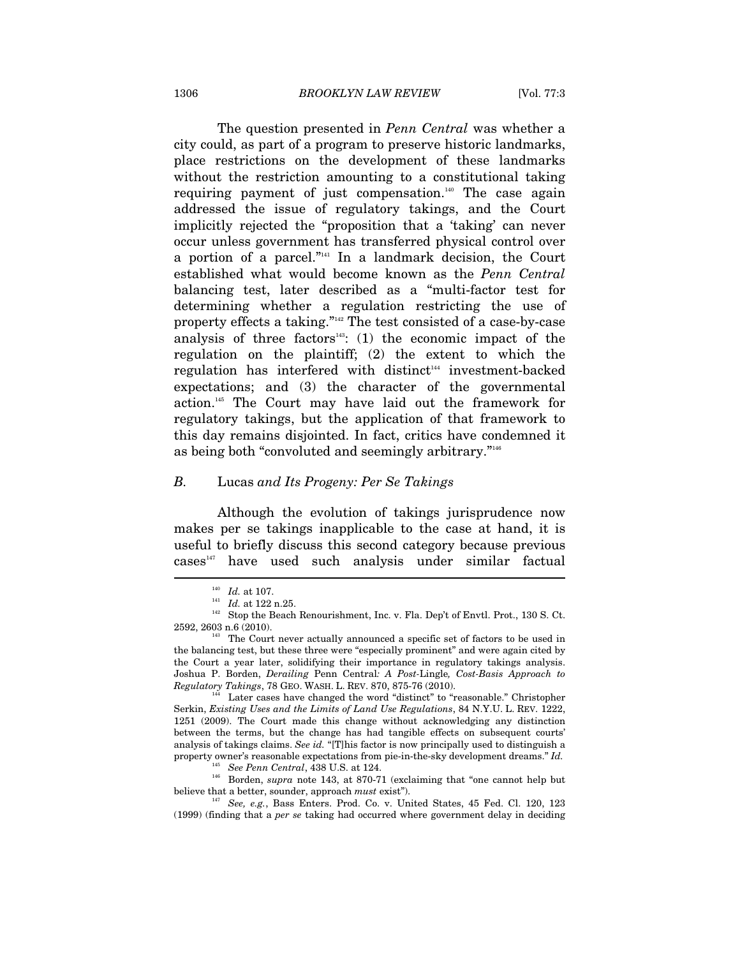The question presented in *Penn Central* was whether a city could, as part of a program to preserve historic landmarks, place restrictions on the development of these landmarks without the restriction amounting to a constitutional taking requiring payment of just compensation.<sup>140</sup> The case again addressed the issue of regulatory takings, and the Court implicitly rejected the "proposition that a 'taking' can never occur unless government has transferred physical control over a portion of a parcel."141 In a landmark decision, the Court established what would become known as the *Penn Central* balancing test, later described as a "multi-factor test for determining whether a regulation restricting the use of property effects a taking."142 The test consisted of a case-by-case analysis of three factors<sup>143</sup>: (1) the economic impact of the regulation on the plaintiff; (2) the extent to which the regulation has interfered with distinct<sup>144</sup> investment-backed expectations; and (3) the character of the governmental action.145 The Court may have laid out the framework for regulatory takings, but the application of that framework to this day remains disjointed. In fact, critics have condemned it as being both "convoluted and seemingly arbitrary."146

### *B.* Lucas *and Its Progeny: Per Se Takings*

Although the evolution of takings jurisprudence now makes per se takings inapplicable to the case at hand, it is useful to briefly discuss this second category because previous  $cases<sup>147</sup>$  have used such analysis under similar factual

<sup>&</sup>lt;sup>140</sup> *Id.* at 107.<br><sup>141</sup> *Id.* at 122 n.25.<br><sup>142</sup> Stop the Beach Renourishment, Inc. v. Fla. Dep't of Envtl. Prot., 130 S. Ct. 2592, 2603 n.6 (2010). The Court never actually announced a specific set of factors to be used in

the balancing test, but these three were "especially prominent" and were again cited by the Court a year later, solidifying their importance in regulatory takings analysis. Joshua P. Borden, *Derailing* Penn Central*: A Post-*Lingle*, Cost-Basis Approach to Regulatory Takings*, 78 GEO. WASH. L. REV. 870, 875-76 (2010).<br><sup>144</sup> Later cases have changed the word "distinct" to "reasonable." Christopher

Serkin, *Existing Uses and the Limits of Land Use Regulations*, 84 N.Y.U. L. REV. 1222, 1251 (2009). The Court made this change without acknowledging any distinction between the terms, but the change has had tangible effects on subsequent courts' analysis of takings claims. *See id.* "[T]his factor is now principally used to distinguish a property owner's reasonable expectations from pie-in-the-sky development dreams." *Id.* 

<sup>&</sup>lt;sup>145</sup> See Penn Central, 438 U.S. at 124.<br><sup>146</sup> Borden, *supra* note 143, at 870-71 (exclaiming that "one cannot help but believe that a better, sounder, approach *must* exist").

<sup>&</sup>lt;sup>147</sup> See, e.g., Bass Enters. Prod. Co. v. United States, 45 Fed. Cl. 120, 123 (1999) (finding that a *per se* taking had occurred where government delay in deciding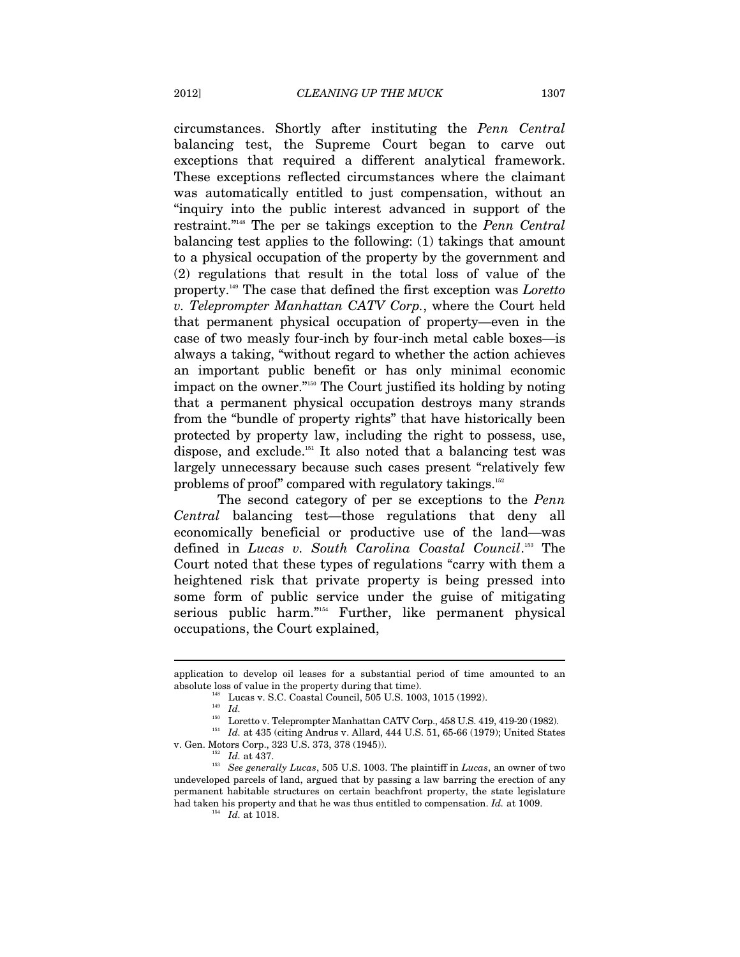circumstances. Shortly after instituting the *Penn Central*  balancing test, the Supreme Court began to carve out exceptions that required a different analytical framework. These exceptions reflected circumstances where the claimant was automatically entitled to just compensation, without an "inquiry into the public interest advanced in support of the restraint."148 The per se takings exception to the *Penn Central* balancing test applies to the following: (1) takings that amount to a physical occupation of the property by the government and (2) regulations that result in the total loss of value of the property.149 The case that defined the first exception was *Loretto v. Teleprompter Manhattan CATV Corp.*, where the Court held that permanent physical occupation of property—even in the case of two measly four-inch by four-inch metal cable boxes—is always a taking, "without regard to whether the action achieves an important public benefit or has only minimal economic impact on the owner."150 The Court justified its holding by noting that a permanent physical occupation destroys many strands from the "bundle of property rights" that have historically been protected by property law, including the right to possess, use, dispose, and exclude.151 It also noted that a balancing test was largely unnecessary because such cases present "relatively few problems of proof" compared with regulatory takings.152

The second category of per se exceptions to the *Penn Central* balancing test—those regulations that deny all economically beneficial or productive use of the land—was defined in *Lucas v. South Carolina Coastal Council*. 153 The Court noted that these types of regulations "carry with them a heightened risk that private property is being pressed into some form of public service under the guise of mitigating serious public harm."154 Further, like permanent physical occupations, the Court explained,

application to develop oil leases for a substantial period of time amounted to an absolute loss of value in the property during that time).<br><sup>148</sup> Lucas v. S.C. Coastal Council, 505 U.S. 1003, 1015 (1992).<br><sup>149</sup> *Id.* Loretto v. Teleprompter Manhattan CATV Corp., 458 U.S. 419, 419-20 (1982).

<sup>&</sup>lt;sup>151</sup> Id. at 435 (citing Andrus v. Allard, 444 U.S. 51, 65-66 (1979); United States v. Gen. Motors Corp., 323 U.S. 373, 378 (1945)).

<sup>&</sup>lt;sup>152</sup> Id. at 437.<br><sup>153</sup> See generally Lucas, 505 U.S. 1003. The plaintiff in *Lucas*, an owner of two undeveloped parcels of land, argued that by passing a law barring the erection of any permanent habitable structures on certain beachfront property, the state legislature had taken his property and that he was thus entitled to compensation. *Id.* at 1009. <sup>154</sup> *Id.* at 1018.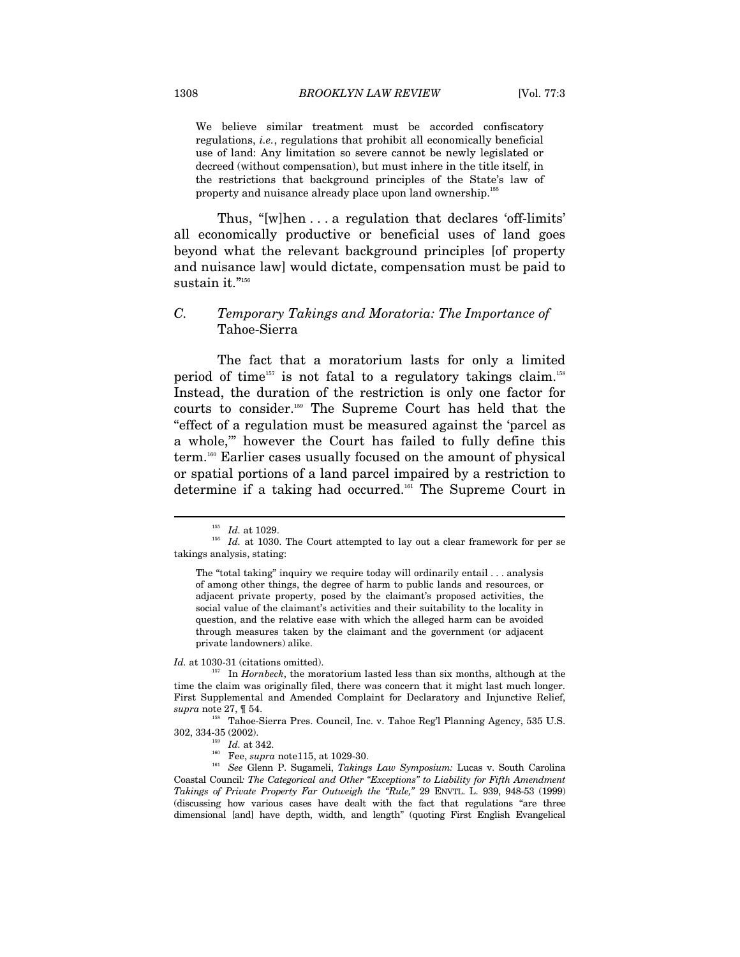We believe similar treatment must be accorded confiscatory regulations, *i.e.*, regulations that prohibit all economically beneficial use of land: Any limitation so severe cannot be newly legislated or decreed (without compensation), but must inhere in the title itself, in the restrictions that background principles of the State's law of property and nuisance already place upon land ownership.<sup>155</sup>

Thus, "[w]hen . . . a regulation that declares 'off-limits' all economically productive or beneficial uses of land goes beyond what the relevant background principles [of property and nuisance law] would dictate, compensation must be paid to sustain it."156

# *C. Temporary Takings and Moratoria: The Importance of*  Tahoe-Sierra

The fact that a moratorium lasts for only a limited period of time<sup>157</sup> is not fatal to a regulatory takings claim.<sup>158</sup> Instead, the duration of the restriction is only one factor for courts to consider.159 The Supreme Court has held that the "effect of a regulation must be measured against the 'parcel as a whole,'" however the Court has failed to fully define this term.160 Earlier cases usually focused on the amount of physical or spatial portions of a land parcel impaired by a restriction to determine if a taking had occurred.161 The Supreme Court in

 $\overline{a}$ 

*Id.* at 1030-31 (citations omitted).<br><sup>157</sup> In *Hornbeck*, the moratorium lasted less than six months, although at the time the claim was originally filed, there was concern that it might last much longer. First Supplemental and Amended Complaint for Declaratory and Injunctive Relief,

*supra* note 27, ¶ 54. 158 Tahoe-Sierra Pres. Council, Inc. v. Tahoe Reg'l Planning Agency, 535 U.S.

302, 334-35 (2002). 159 *Id.* at 342. 160 Fee, *supra* note115, at 1029-30. 161 *See* Glenn P. Sugameli, *Takings Law Symposium:* Lucas v. South Carolina Coastal Council*: The Categorical and Other "Exceptions" to Liability for Fifth Amendment Takings of Private Property Far Outweigh the "Rule,"* 29 ENVTL. L. 939, 948-53 (1999) (discussing how various cases have dealt with the fact that regulations "are three dimensional [and] have depth, width, and length" (quoting First English Evangelical

 $^{155}$   $\,$   $Id.$  at 1029. The Court attempted to lay out a clear framework for per se takings analysis, stating:

The "total taking" inquiry we require today will ordinarily entail . . . analysis of among other things, the degree of harm to public lands and resources, or adjacent private property, posed by the claimant's proposed activities, the social value of the claimant's activities and their suitability to the locality in question, and the relative ease with which the alleged harm can be avoided through measures taken by the claimant and the government (or adjacent private landowners) alike.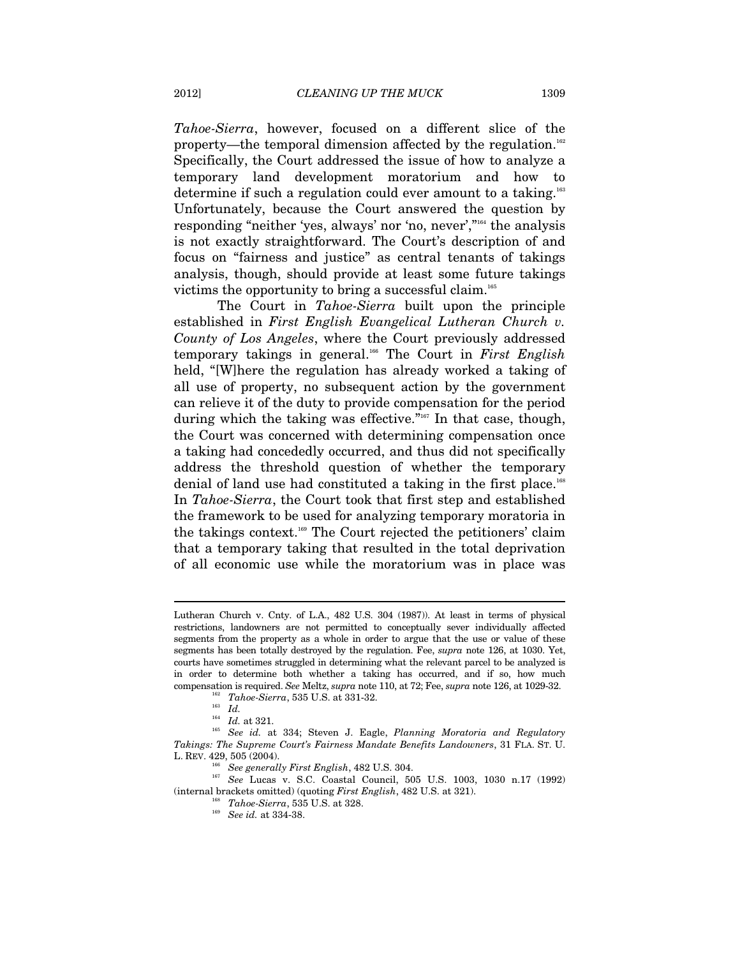*Tahoe-Sierra*, however, focused on a different slice of the property—the temporal dimension affected by the regulation.<sup>162</sup> Specifically, the Court addressed the issue of how to analyze a temporary land development moratorium and how to determine if such a regulation could ever amount to a taking.163 Unfortunately, because the Court answered the question by responding "neither 'yes, always' nor 'no, never',"164 the analysis is not exactly straightforward. The Court's description of and focus on "fairness and justice" as central tenants of takings analysis, though, should provide at least some future takings victims the opportunity to bring a successful claim.165

The Court in *Tahoe-Sierra* built upon the principle established in *First English Evangelical Lutheran Church v. County of Los Angeles*, where the Court previously addressed temporary takings in general.166 The Court in *First English* held, "[W]here the regulation has already worked a taking of all use of property, no subsequent action by the government can relieve it of the duty to provide compensation for the period during which the taking was effective."<sup>167</sup> In that case, though, the Court was concerned with determining compensation once a taking had concededly occurred, and thus did not specifically address the threshold question of whether the temporary denial of land use had constituted a taking in the first place.<sup>168</sup> In *Tahoe-Sierra*, the Court took that first step and established the framework to be used for analyzing temporary moratoria in the takings context.169 The Court rejected the petitioners' claim that a temporary taking that resulted in the total deprivation of all economic use while the moratorium was in place was

Lutheran Church v. Cnty. of L.A., 482 U.S. 304 (1987)). At least in terms of physical restrictions, landowners are not permitted to conceptually sever individually affected segments from the property as a whole in order to argue that the use or value of these segments has been totally destroyed by the regulation. Fee, *supra* note 126, at 1030. Yet, courts have sometimes struggled in determining what the relevant parcel to be analyzed is in order to determine both whether a taking has occurred, and if so, how much compensation is required. *See Meltz, supra* note 110, at 72; Fee, *supra* note 126, at 1029-32.<br>
<sup>162</sup> *Tahoe-Sierra*, 535 U.S. at 331-32.<br> *Id. Id.* at 321.

<sup>164</sup> *Id.* at 321. 165 *See id.* at 334; Steven J. Eagle, *Planning Moratoria and Regulatory Takings: The Supreme Court's Fairness Mandate Benefits Landowners*, 31 FLA. ST. U. L. REV. 429, 505 (2004). 166 *See generally First English*, 482 U.S. 304. 167 *See* Lucas v. S.C. Coastal Council, 505 U.S. 1003, 1030 n.17 (1992)

<sup>(</sup>internal brackets omitted) (quoting *First English*, 482 U.S. at 321). 168 *Tahoe-Sierra*, 535 U.S. at 328. 169 *See id.* at 334-38.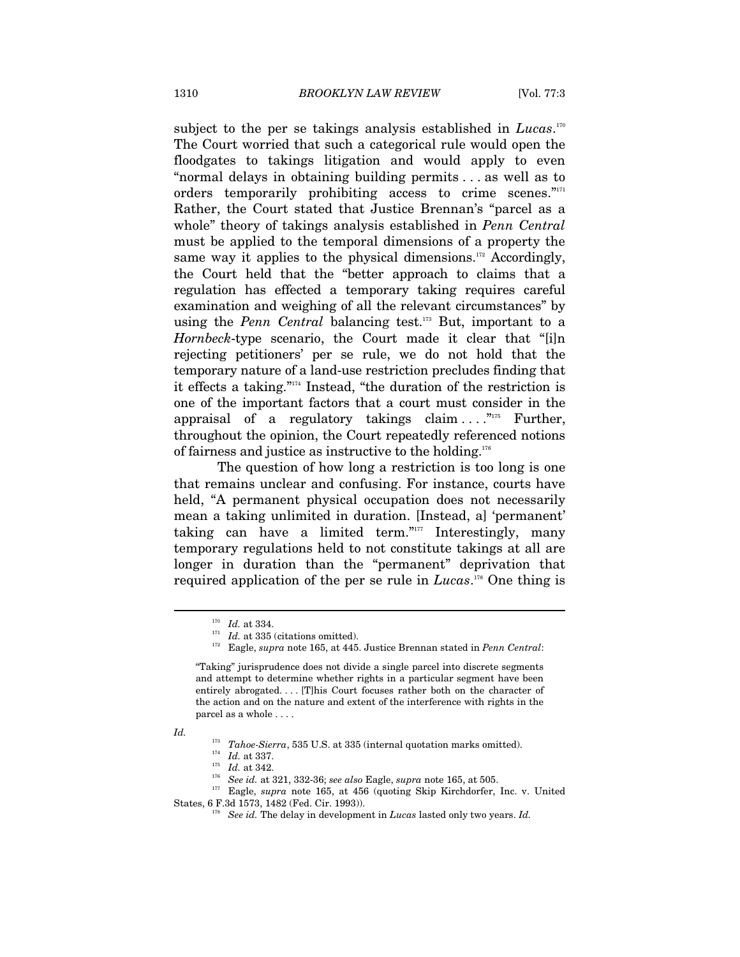subject to the per se takings analysis established in *Lucas*.<sup>170</sup> The Court worried that such a categorical rule would open the floodgates to takings litigation and would apply to even "normal delays in obtaining building permits . . . as well as to orders temporarily prohibiting access to crime scenes."<sup>171</sup> Rather, the Court stated that Justice Brennan's "parcel as a whole" theory of takings analysis established in *Penn Central* must be applied to the temporal dimensions of a property the same way it applies to the physical dimensions. $172$  Accordingly, the Court held that the "better approach to claims that a regulation has effected a temporary taking requires careful examination and weighing of all the relevant circumstances" by using the *Penn Central* balancing test.<sup>173</sup> But, important to a *Hornbeck*-type scenario, the Court made it clear that "[i]n rejecting petitioners' per se rule, we do not hold that the temporary nature of a land-use restriction precludes finding that it effects a taking."174 Instead, "the duration of the restriction is one of the important factors that a court must consider in the appraisal of a regulatory takings claim  $\dots$ <sup>"175</sup> Further, throughout the opinion, the Court repeatedly referenced notions of fairness and justice as instructive to the holding.176

The question of how long a restriction is too long is one that remains unclear and confusing. For instance, courts have held, "A permanent physical occupation does not necessarily mean a taking unlimited in duration. [Instead, a] 'permanent' taking can have a limited term."<sup>1777</sup> Interestingly, many temporary regulations held to not constitute takings at all are longer in duration than the "permanent" deprivation that required application of the per se rule in *Lucas*. 178 One thing is

*Id.* 

<sup>170</sup> *Id.* at 334. 171 *Id.* at 335 (citations omitted). 172 Eagle, *supra* note 165, at 445. Justice Brennan stated in *Penn Central*:

<sup>&</sup>quot;Taking" jurisprudence does not divide a single parcel into discrete segments and attempt to determine whether rights in a particular segment have been entirely abrogated. . . . [T]his Court focuses rather both on the character of the action and on the nature and extent of the interference with rights in the parcel as a whole . . . .

<sup>&</sup>lt;sup>173</sup> Tahoe-Sierra, 535 U.S. at 335 (internal quotation marks omitted).<br><sup>174</sup> Id. at 337.<br><sup>175</sup> Id. at 342.<br><sup>176</sup> See id. at 321, 332-36; see also Eagle, *supra* note 165, at 505.<br><sup>176</sup> Eagle, *supra* note 165, at 456 (qu States, 6 F.3d 1573, 1482 (Fed. Cir. 1993)). 178 *See id.* The delay in development in *Lucas* lasted only two years. *Id.*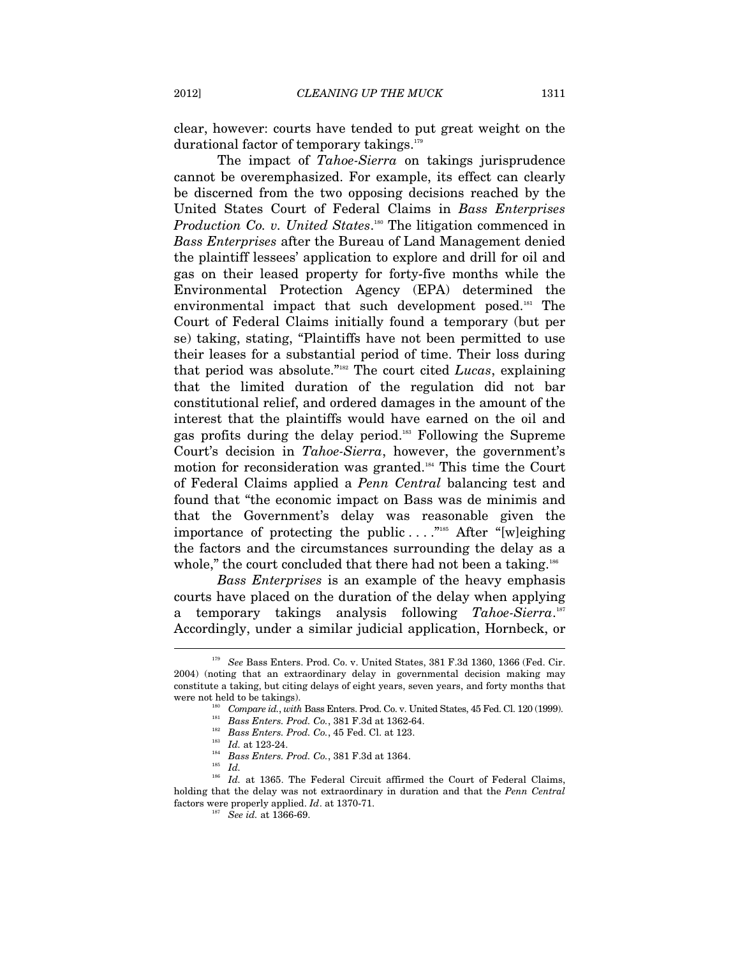clear, however: courts have tended to put great weight on the durational factor of temporary takings.<sup>179</sup>

The impact of *Tahoe-Sierra* on takings jurisprudence cannot be overemphasized. For example, its effect can clearly be discerned from the two opposing decisions reached by the United States Court of Federal Claims in *Bass Enterprises*  Production Co. v. United States.<sup>180</sup> The litigation commenced in *Bass Enterprises* after the Bureau of Land Management denied the plaintiff lessees' application to explore and drill for oil and gas on their leased property for forty-five months while the Environmental Protection Agency (EPA) determined the environmental impact that such development posed.<sup>181</sup> The Court of Federal Claims initially found a temporary (but per se) taking, stating, "Plaintiffs have not been permitted to use their leases for a substantial period of time. Their loss during that period was absolute."182 The court cited *Lucas*, explaining that the limited duration of the regulation did not bar constitutional relief, and ordered damages in the amount of the interest that the plaintiffs would have earned on the oil and gas profits during the delay period.183 Following the Supreme Court's decision in *Tahoe-Sierra*, however, the government's motion for reconsideration was granted.184 This time the Court of Federal Claims applied a *Penn Central* balancing test and found that "the economic impact on Bass was de minimis and that the Government's delay was reasonable given the importance of protecting the public  $\dots$ ."<sup>185</sup> After "[w]eighing the factors and the circumstances surrounding the delay as a whole," the court concluded that there had not been a taking.<sup>186</sup>

*Bass Enterprises* is an example of the heavy emphasis courts have placed on the duration of the delay when applying a temporary takings analysis following *Tahoe-Sierra*. 187 Accordingly, under a similar judicial application, Hornbeck, or  $\overline{a}$ 

<sup>179</sup> *See* Bass Enters. Prod. Co. v. United States, 381 F.3d 1360, 1366 (Fed. Cir. 2004) (noting that an extraordinary delay in governmental decision making may constitute a taking, but citing delays of eight years, seven years, and forty months that were not held to be takings).<br>
Compare id., with Bass Enters. Prod. Co. v. United States, 45 Fed. Cl. 120 (1999).<br>
<sup>181</sup> Bass Enters. Prod. Co., 381 F.3d at 1362-64.<br>
<sup>182</sup> Bass Enters. Prod. Co., 45 Fed. Cl. at 123.<br>
<sup>18</sup>

<sup>&</sup>lt;sup>186</sup> Id. at 1365. The Federal Circuit affirmed the Court of Federal Claims, holding that the delay was not extraordinary in duration and that the *Penn Central* factors were properly applied. *Id.* at 1370-71.<br><sup>187</sup> See id. at 1366-69.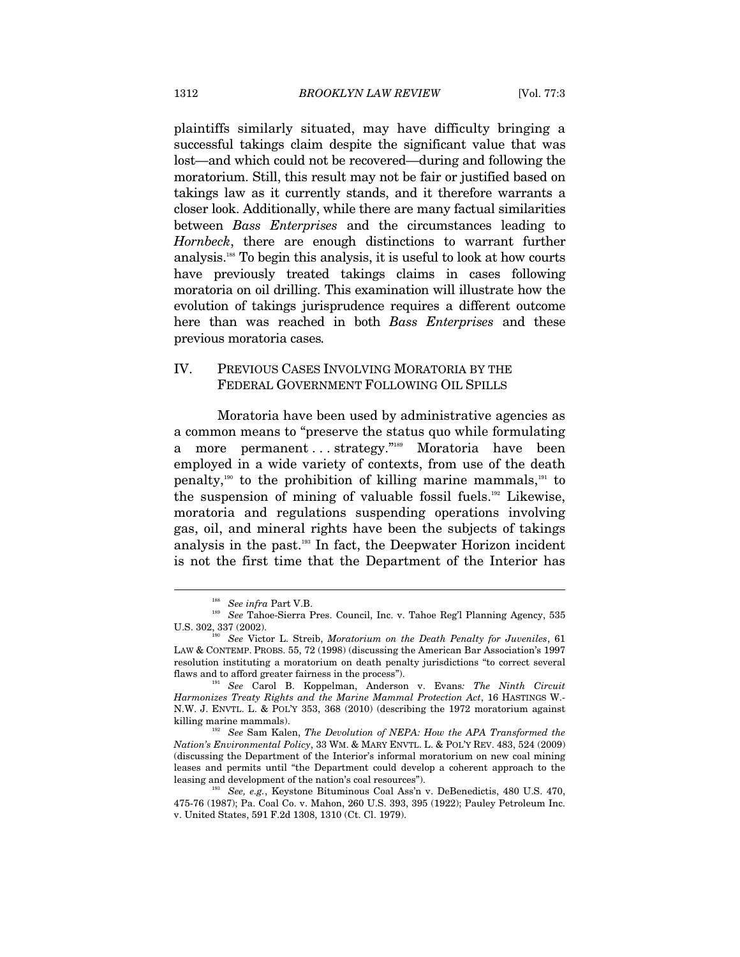plaintiffs similarly situated, may have difficulty bringing a successful takings claim despite the significant value that was lost—and which could not be recovered—during and following the moratorium. Still, this result may not be fair or justified based on takings law as it currently stands, and it therefore warrants a closer look. Additionally, while there are many factual similarities between *Bass Enterprises* and the circumstances leading to *Hornbeck*, there are enough distinctions to warrant further analysis.188 To begin this analysis, it is useful to look at how courts have previously treated takings claims in cases following moratoria on oil drilling. This examination will illustrate how the evolution of takings jurisprudence requires a different outcome here than was reached in both *Bass Enterprises* and these previous moratoria cases*.*

# IV. PREVIOUS CASES INVOLVING MORATORIA BY THE FEDERAL GOVERNMENT FOLLOWING OIL SPILLS

Moratoria have been used by administrative agencies as a common means to "preserve the status quo while formulating a more permanent ... strategy."<sup>189</sup> Moratoria have been employed in a wide variety of contexts, from use of the death penalty,<sup>190</sup> to the prohibition of killing marine mammals, <sup>191</sup> to the suspension of mining of valuable fossil fuels. $192$  Likewise, moratoria and regulations suspending operations involving gas, oil, and mineral rights have been the subjects of takings analysis in the past.193 In fact, the Deepwater Horizon incident is not the first time that the Department of the Interior has

<sup>&</sup>lt;sup>188</sup> See infra Part V.B.<br><sup>189</sup> See Tahoe-Sierra Pres. Council, Inc. v. Tahoe Reg'l Planning Agency, 535 U.S. 302, 337 (2002). 190 *See* Victor L. Streib, *Moratorium on the Death Penalty for Juveniles*, 61

LAW & CONTEMP. PROBS. 55, 72 (1998) (discussing the American Bar Association's 1997 resolution instituting a moratorium on death penalty jurisdictions "to correct several flaws and to afford greater fairness in the process"). 191 *See* Carol B. Koppelman, Anderson v. Evans*: The Ninth Circuit* 

*Harmonizes Treaty Rights and the Marine Mammal Protection Act*, 16 HASTINGS W.- N.W. J. ENVTL. L. & POL'Y 353, 368 (2010) (describing the 1972 moratorium against

<sup>&</sup>lt;sup>192</sup> See Sam Kalen, *The Devolution of NEPA: How the APA Transformed the Nation's Environmental Policy*, 33 WM. & MARY ENVTL. L. & POL'Y REV. 483, 524 (2009) (discussing the Department of the Interior's informal moratorium on new coal mining leases and permits until "the Department could develop a coherent approach to the leasing and development of the nation's coal resources"). 193 *See, e.g.*, Keystone Bituminous Coal Ass'n v. DeBenedictis, 480 U.S. 470,

<sup>475-76 (1987);</sup> Pa. Coal Co. v. Mahon, 260 U.S. 393, 395 (1922); Pauley Petroleum Inc. v. United States, 591 F.2d 1308, 1310 (Ct. Cl. 1979).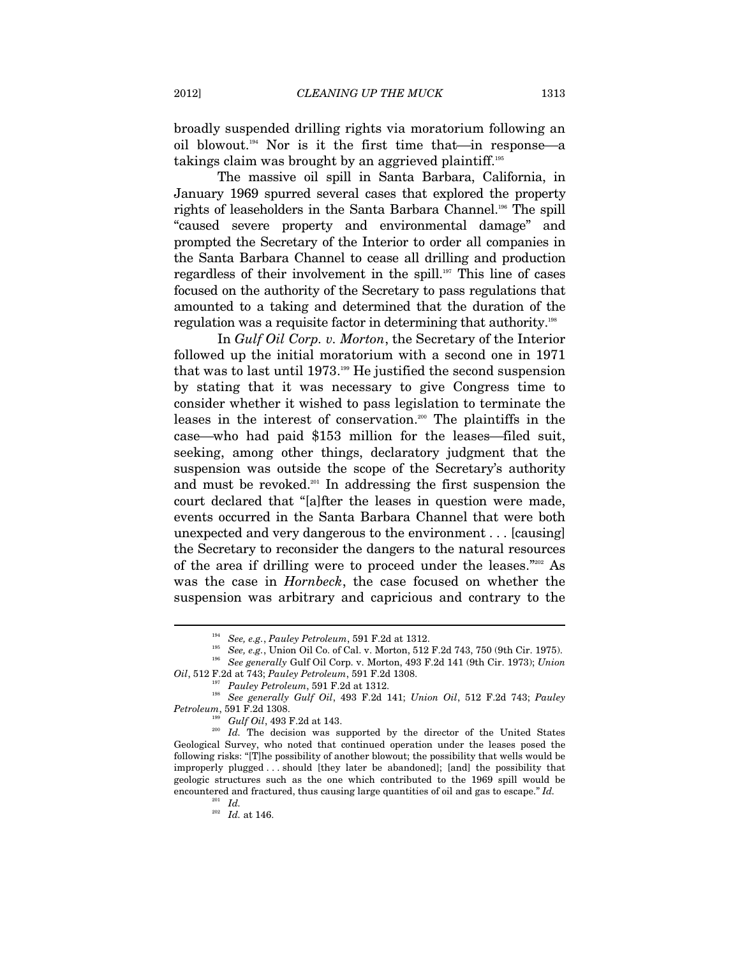broadly suspended drilling rights via moratorium following an oil blowout.<sup>194</sup> Nor is it the first time that—in response—a takings claim was brought by an aggrieved plaintiff.<sup>195</sup>

The massive oil spill in Santa Barbara, California, in January 1969 spurred several cases that explored the property rights of leaseholders in the Santa Barbara Channel.196 The spill "caused severe property and environmental damage" and prompted the Secretary of the Interior to order all companies in the Santa Barbara Channel to cease all drilling and production regardless of their involvement in the spill.197 This line of cases focused on the authority of the Secretary to pass regulations that amounted to a taking and determined that the duration of the regulation was a requisite factor in determining that authority.<sup>198</sup>

In *Gulf Oil Corp. v. Morton*, the Secretary of the Interior followed up the initial moratorium with a second one in 1971 that was to last until  $1973.^{199}$  He justified the second suspension by stating that it was necessary to give Congress time to consider whether it wished to pass legislation to terminate the leases in the interest of conservation.<sup>200</sup> The plaintiffs in the case—who had paid \$153 million for the leases—filed suit, seeking, among other things, declaratory judgment that the suspension was outside the scope of the Secretary's authority and must be revoked.<sup>201</sup> In addressing the first suspension the court declared that "[a]fter the leases in question were made, events occurred in the Santa Barbara Channel that were both unexpected and very dangerous to the environment . . . [causing] the Secretary to reconsider the dangers to the natural resources of the area if drilling were to proceed under the leases."202 As was the case in *Hornbeck*, the case focused on whether the suspension was arbitrary and capricious and contrary to the

<sup>&</sup>lt;sup>194</sup> See, e.g., Pauley Petroleum, 591 F.2d at 1312.<br><sup>195</sup> See, e.g., Union Oil Co. of Cal. v. Morton, 512 F.2d 743, 750 (9th Cir. 1975).<br><sup>196</sup> See generally Gulf Oil Corp. v. Morton, 493 F.2d 141 (9th Cir. 1973); *Union* 

Oil, 512 F.2d at 743; Pauley Petroleum, 591 F.2d 1308.<br><sup>197</sup> Pauley Petroleum, 591 F.2d at 1312.<br><sup>198</sup> See generally Gulf Oil, 493 F.2d 141; Union Oil, 512 F.2d 743; Pauley *Petroleum*, 591 F.2d 1308.<br><sup>199</sup> *Gulf Oil*, 493 F.2d at 143.<br><sup>200</sup> *Id.* The decision was supported by the director of the United States

Geological Survey, who noted that continued operation under the leases posed the following risks: "[T]he possibility of another blowout; the possibility that wells would be improperly plugged . . . should [they later be abandoned]; [and] the possibility that geologic structures such as the one which contributed to the 1969 spill would be encountered and fractured, thus causing large quantities of oil and gas to escape." *Id.* 

 $\frac{201}{202}$  *Id.* at 146.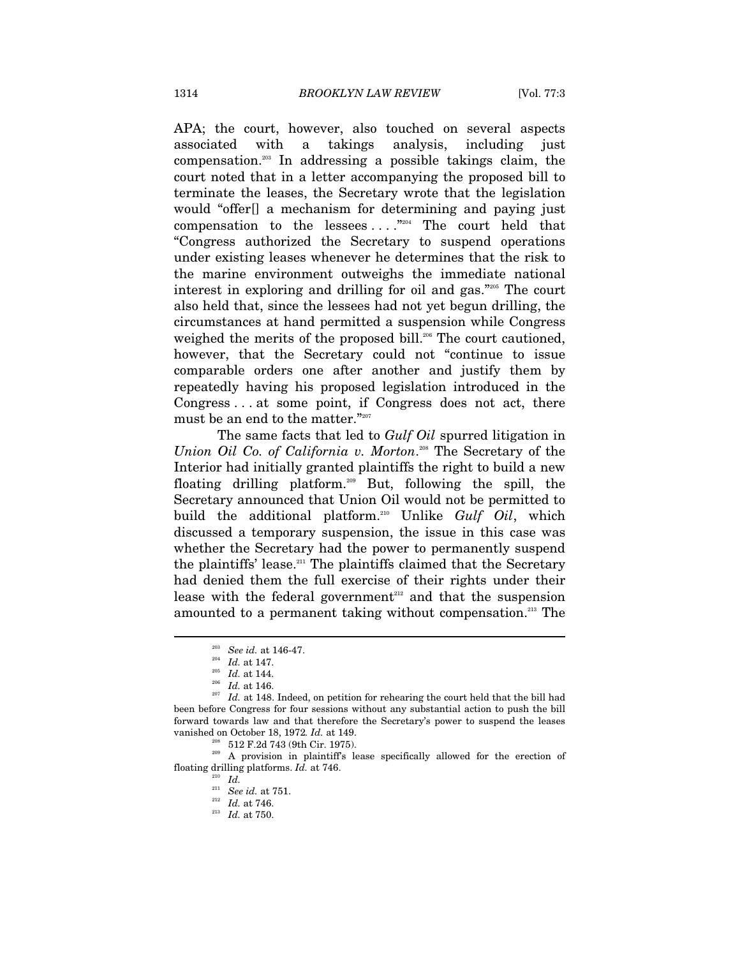APA; the court, however, also touched on several aspects associated with a takings analysis, including just compensation.203 In addressing a possible takings claim, the court noted that in a letter accompanying the proposed bill to terminate the leases, the Secretary wrote that the legislation would "offer[] a mechanism for determining and paying just compensation to the lessees  $\dots$ ."<sup>204</sup> The court held that "Congress authorized the Secretary to suspend operations under existing leases whenever he determines that the risk to the marine environment outweighs the immediate national interest in exploring and drilling for oil and gas."205 The court also held that, since the lessees had not yet begun drilling, the circumstances at hand permitted a suspension while Congress weighed the merits of the proposed bill.<sup>206</sup> The court cautioned, however, that the Secretary could not "continue to issue comparable orders one after another and justify them by repeatedly having his proposed legislation introduced in the Congress . . . at some point, if Congress does not act, there must be an end to the matter."207

The same facts that led to *Gulf Oil* spurred litigation in Union Oil Co. of California v. Morton.<sup>208</sup> The Secretary of the Interior had initially granted plaintiffs the right to build a new floating drilling platform.209 But, following the spill, the Secretary announced that Union Oil would not be permitted to build the additional platform.210 Unlike *Gulf Oil*, which discussed a temporary suspension, the issue in this case was whether the Secretary had the power to permanently suspend the plaintiffs' lease.<sup>211</sup> The plaintiffs claimed that the Secretary had denied them the full exercise of their rights under their lease with the federal government $212$  and that the suspension amounted to a permanent taking without compensation.<sup>213</sup> The

 $\overline{a}$ 

floating drilling platforms. *Id.* at 746.

<sup>&</sup>lt;sup>203</sup> See id. at 146-47.<br><sup>204</sup> Id. at 147.<br><sup>205</sup> Id. at 144.<br><sup>206</sup> Id. at 146.<br><sup>207</sup> Id. at 148. Indeed, on petition for rehearing the court held that the bill had been before Congress for four sessions without any substantial action to push the bill forward towards law and that therefore the Secretary's power to suspend the leases vanished on October 18, 1972. *Id.* at 149.<br><sup>208</sup> 512 F.2d 743 (9th Cir. 1975).<br><sup>209</sup> A provision in plaintiff's lease specifically allowed for the erection of

<sup>211</sup> *See id.* at 751. 212 *Id.* at 746. 213 *Id.* at 750.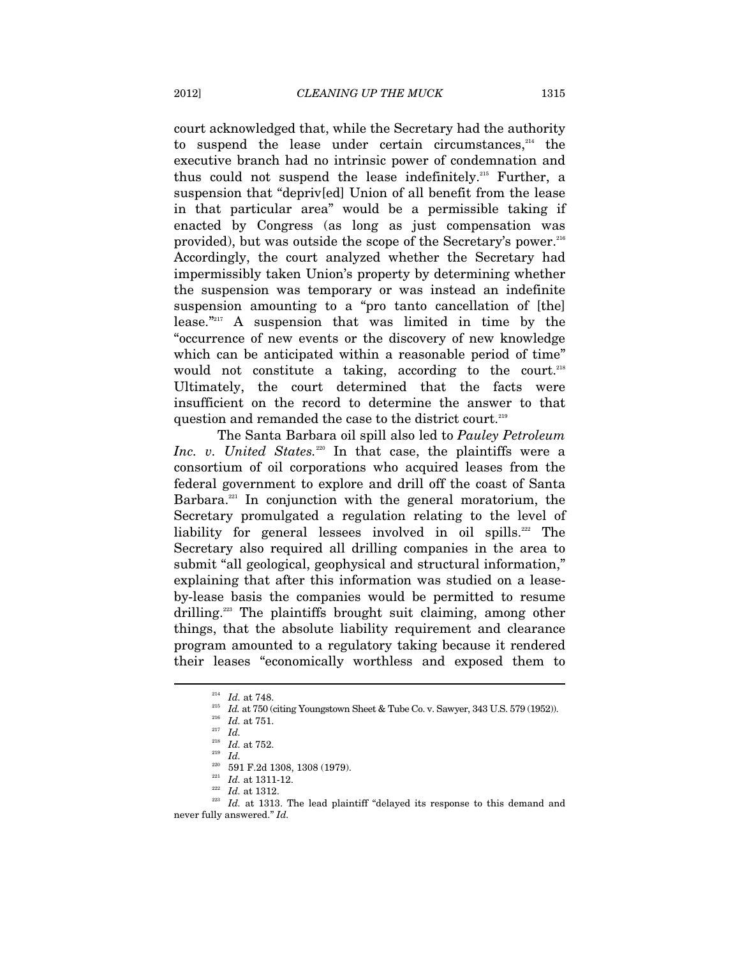court acknowledged that, while the Secretary had the authority to suspend the lease under certain circumstances, $214$  the executive branch had no intrinsic power of condemnation and thus could not suspend the lease indefinitely.215 Further, a suspension that "depriv[ed] Union of all benefit from the lease in that particular area" would be a permissible taking if enacted by Congress (as long as just compensation was provided), but was outside the scope of the Secretary's power.216 Accordingly, the court analyzed whether the Secretary had impermissibly taken Union's property by determining whether the suspension was temporary or was instead an indefinite suspension amounting to a "pro tanto cancellation of [the] lease."217 A suspension that was limited in time by the "occurrence of new events or the discovery of new knowledge which can be anticipated within a reasonable period of time" would not constitute a taking, according to the court.<sup>218</sup> Ultimately, the court determined that the facts were insufficient on the record to determine the answer to that question and remanded the case to the district court.<sup>219</sup>

The Santa Barbara oil spill also led to *Pauley Petroleum Inc. v. United States.*<sup>220</sup> In that case, the plaintiffs were a consortium of oil corporations who acquired leases from the federal government to explore and drill off the coast of Santa Barbara.<sup>221</sup> In conjunction with the general moratorium, the Secretary promulgated a regulation relating to the level of liability for general lessees involved in oil spills.<sup>222</sup> The Secretary also required all drilling companies in the area to submit "all geological, geophysical and structural information," explaining that after this information was studied on a leaseby-lease basis the companies would be permitted to resume drilling.<sup>223</sup> The plaintiffs brought suit claiming, among other things, that the absolute liability requirement and clearance program amounted to a regulatory taking because it rendered their leases "economically worthless and exposed them to

<sup>&</sup>lt;sup>214</sup> *Id.* at 748.<br><sup>215</sup> *Id.* at 750 (citing Youngstown Sheet & Tube Co. v. Sawyer, 343 U.S. 579 (1952)).<br><sup>216</sup> *Id.* at 751.<br>*Id. Id.* at 752.

<sup>218</sup> *Id.* 220 591 F.2d 1308, 1308 (1979).<br>
221 *Id.* at 1311-12.<br>
<sup>222</sup> *Id.* at 1312.<br>
<sup>223</sup> *Id.* at 1313. The lead plaintiff "delayed its response to this demand and never fully answered." *Id.*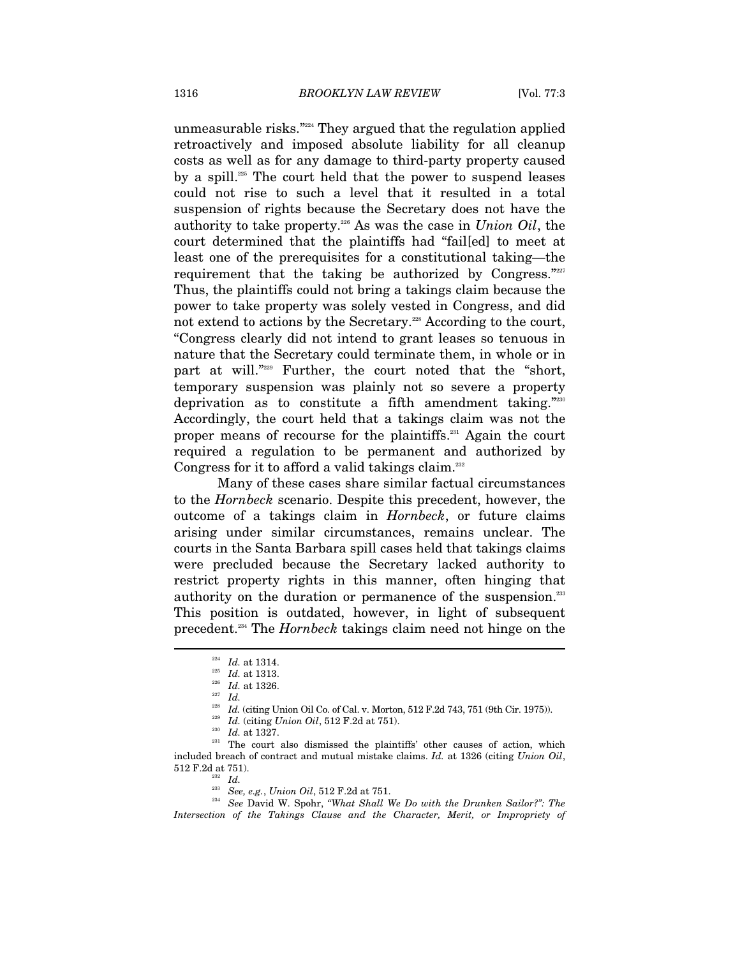unmeasurable risks."224 They argued that the regulation applied retroactively and imposed absolute liability for all cleanup costs as well as for any damage to third-party property caused by a spill.225 The court held that the power to suspend leases could not rise to such a level that it resulted in a total suspension of rights because the Secretary does not have the authority to take property.226 As was the case in *Union Oil*, the court determined that the plaintiffs had "fail[ed] to meet at least one of the prerequisites for a constitutional taking—the requirement that the taking be authorized by Congress."227 Thus, the plaintiffs could not bring a takings claim because the power to take property was solely vested in Congress, and did not extend to actions by the Secretary.<sup>228</sup> According to the court, "Congress clearly did not intend to grant leases so tenuous in nature that the Secretary could terminate them, in whole or in part at will."229 Further, the court noted that the "short, temporary suspension was plainly not so severe a property deprivation as to constitute a fifth amendment taking."230 Accordingly, the court held that a takings claim was not the proper means of recourse for the plaintiffs.<sup>231</sup> Again the court required a regulation to be permanent and authorized by Congress for it to afford a valid takings claim.<sup>232</sup>

Many of these cases share similar factual circumstances to the *Hornbeck* scenario. Despite this precedent, however, the outcome of a takings claim in *Hornbeck*, or future claims arising under similar circumstances, remains unclear. The courts in the Santa Barbara spill cases held that takings claims were precluded because the Secretary lacked authority to restrict property rights in this manner, often hinging that authority on the duration or permanence of the suspension.<sup>233</sup> This position is outdated, however, in light of subsequent precedent.234 The *Hornbeck* takings claim need not hinge on the

<sup>234</sup> See David W. Spohr, *"What Shall We Do with the Drunken Sailor?": The Intersection of the Takings Clause and the Character, Merit, or Impropriety of* 

<sup>224</sup> *Id.* at 1314. 225 *Id.* at 1313. 226 *Id.* at 1326. 227 *Id.*

<sup>&</sup>lt;sup>228</sup> *Id.* (citing Union Oil Co. of Cal. v. Morton, 512 F.2d 743, 751 (9th Cir. 1975)).<br><sup>229</sup> *Id.* (citing *Union Oil*, 512 F.2d at 751).<br><sup>230</sup> *Id.* at 1327.<br><sup>231</sup> The court also dismissed the plaintiffs' other causes included breach of contract and mutual mistake claims. *Id.* at 1326 (citing *Union Oil*,  $512$  F.2d at 751).  $^{232}$   $Id.$   $^{233}$   $\,$   $\,$  See, e.g.,  $Union$   $Oil,$  512 F.2d at 751.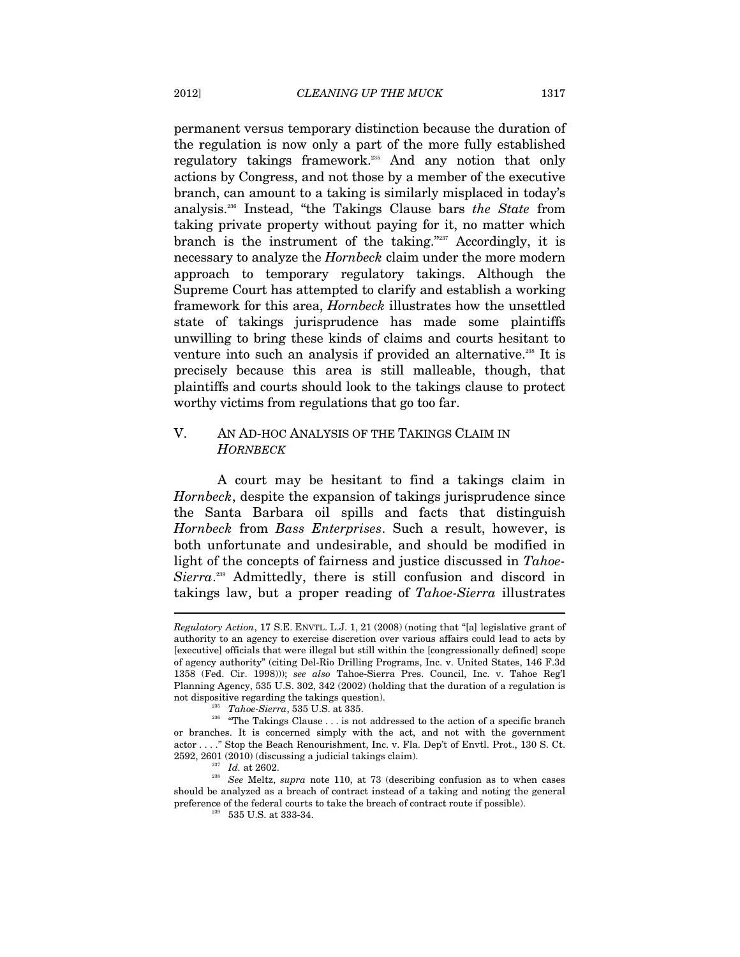permanent versus temporary distinction because the duration of the regulation is now only a part of the more fully established regulatory takings framework.235 And any notion that only actions by Congress, and not those by a member of the executive branch, can amount to a taking is similarly misplaced in today's analysis.236 Instead, "the Takings Clause bars *the State* from taking private property without paying for it, no matter which branch is the instrument of the taking."<sup>237</sup> Accordingly, it is necessary to analyze the *Hornbeck* claim under the more modern approach to temporary regulatory takings. Although the Supreme Court has attempted to clarify and establish a working framework for this area, *Hornbeck* illustrates how the unsettled state of takings jurisprudence has made some plaintiffs unwilling to bring these kinds of claims and courts hesitant to venture into such an analysis if provided an alternative.<sup>238</sup> It is precisely because this area is still malleable, though, that plaintiffs and courts should look to the takings clause to protect worthy victims from regulations that go too far.

# V. AN AD-HOC ANALYSIS OF THE TAKINGS CLAIM IN *HORNBECK*

A court may be hesitant to find a takings claim in *Hornbeck*, despite the expansion of takings jurisprudence since the Santa Barbara oil spills and facts that distinguish *Hornbeck* from *Bass Enterprises*. Such a result, however, is both unfortunate and undesirable, and should be modified in light of the concepts of fairness and justice discussed in *Tahoe-*Sierra.<sup>239</sup> Admittedly, there is still confusion and discord in takings law, but a proper reading of *Tahoe-Sierra* illustrates  $\overline{a}$ 

*Regulatory Action*, 17 S.E. ENVTL. L.J. 1, 21 (2008) (noting that "[a] legislative grant of authority to an agency to exercise discretion over various affairs could lead to acts by [executive] officials that were illegal but still within the [congressionally defined] scope of agency authority" (citing Del-Rio Drilling Programs, Inc. v. United States, 146 F.3d 1358 (Fed. Cir. 1998))); *see also* Tahoe-Sierra Pres. Council, Inc. v. Tahoe Reg'l Planning Agency, 535 U.S. 302, 342 (2002) (holding that the duration of a regulation is not dispositive regarding the takings question).

<sup>&</sup>lt;sup>235</sup> *Tahoe-Sierra*, 535 U.S. at 335. 236  $\frac{236}{100}$  and  $\frac{236}{100}$  and  $\frac{236}{100}$  and  $\frac{236}{100}$  and  $\frac{236}{100}$  and  $\frac{236}{100}$  and  $\frac{236}{100}$  and  $\frac{236}{100}$  and  $\frac{236}{100}$  and  $\frac{236}{100}$  an or branches. It is concerned simply with the act, and not with the government actor . . . ." Stop the Beach Renourishment, Inc. v. Fla. Dep't of Envtl. Prot., 130 S. Ct.

<sup>2592, 2601 (2010) (</sup>discussing a judicial takings claim). 237 *Id.* at 2602. 238 *See* Meltz, *supra* note 110, at 73 (describing confusion as to when cases should be analyzed as a breach of contract instead of a taking and noting the general preference of the federal courts to take the breach of contract route if possible).  $^{239}$  –  $535$  U.S. at 333-34.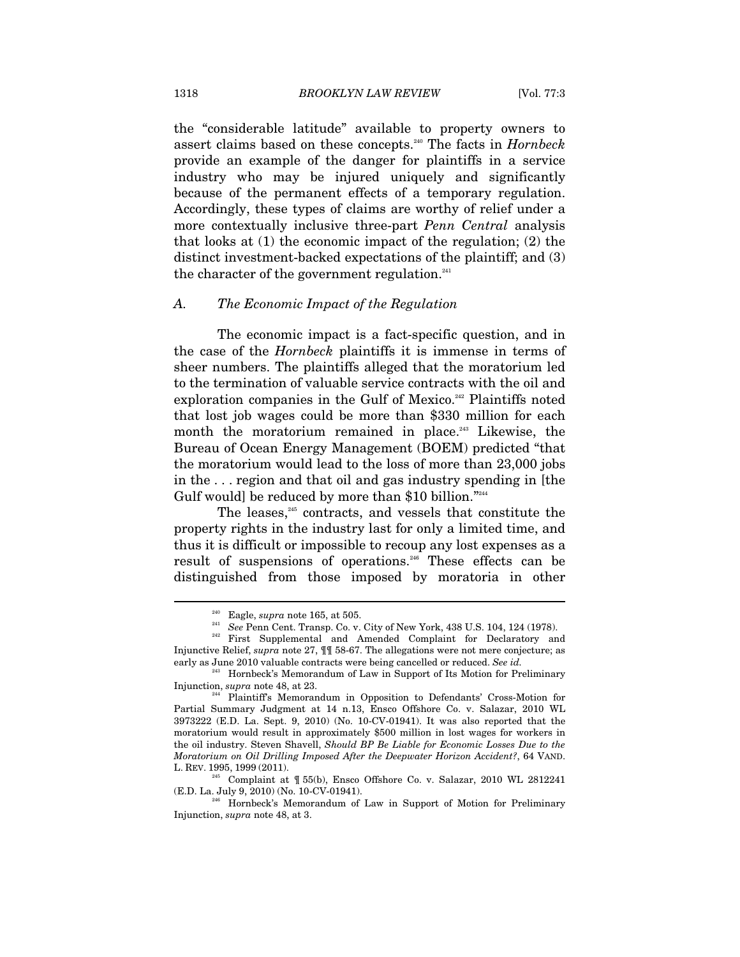the "considerable latitude" available to property owners to assert claims based on these concepts.240 The facts in *Hornbeck*  provide an example of the danger for plaintiffs in a service industry who may be injured uniquely and significantly because of the permanent effects of a temporary regulation. Accordingly, these types of claims are worthy of relief under a more contextually inclusive three-part *Penn Central* analysis that looks at (1) the economic impact of the regulation; (2) the distinct investment-backed expectations of the plaintiff; and (3) the character of the government regulation.<sup>241</sup>

#### *A. The Economic Impact of the Regulation*

The economic impact is a fact-specific question, and in the case of the *Hornbeck* plaintiffs it is immense in terms of sheer numbers. The plaintiffs alleged that the moratorium led to the termination of valuable service contracts with the oil and exploration companies in the Gulf of Mexico.<sup>242</sup> Plaintiffs noted that lost job wages could be more than \$330 million for each month the moratorium remained in place.<sup>243</sup> Likewise, the Bureau of Ocean Energy Management (BOEM) predicted "that the moratorium would lead to the loss of more than 23,000 jobs in the . . . region and that oil and gas industry spending in [the Gulf would] be reduced by more than \$10 billion."244

The leases, $245$  contracts, and vessels that constitute the property rights in the industry last for only a limited time, and thus it is difficult or impossible to recoup any lost expenses as a result of suspensions of operations.<sup>246</sup> These effects can be distinguished from those imposed by moratoria in other

<sup>245</sup> Complaint at  $\parallel$  55(b), Ensco Offshore Co. v. Salazar, 2010 WL 2812241 (E.D. La. July 9, 2010) (No. 10-CV-01941).

<sup>&</sup>lt;sup>240</sup> Eagle, *supra* note 165, at 505.<br><sup>241</sup> See Penn Cent. Transp. Co. v. City of New York, 438 U.S. 104, 124 (1978).<br><sup>242</sup> First Supplemental and Amended Complaint for Declaratory and Injunctive Relief, *supra* note 27, ¶¶ 58-67. The allegations were not mere conjecture; as early as June 2010 valuable contracts were being cancelled or reduced. *See id.* 

<sup>&</sup>lt;sup>243</sup> Hornbeck's Memorandum of Law in Support of Its Motion for Preliminary Injunction, *supra* note 48, at 23.

Plaintiff's Memorandum in Opposition to Defendants' Cross-Motion for Partial Summary Judgment at 14 n.13, Ensco Offshore Co. v. Salazar, 2010 WL 3973222 (E.D. La. Sept. 9, 2010) (No. 10-CV-01941). It was also reported that the moratorium would result in approximately \$500 million in lost wages for workers in the oil industry. Steven Shavell, *Should BP Be Liable for Economic Losses Due to the Moratorium on Oil Drilling Imposed After the Deepwater Horizon Accident?*, 64 VAND. L. REV. 1995, 1999 (2011).

<sup>&</sup>lt;sup>246</sup> Hornbeck's Memorandum of Law in Support of Motion for Preliminary Injunction, *supra* note 48, at 3.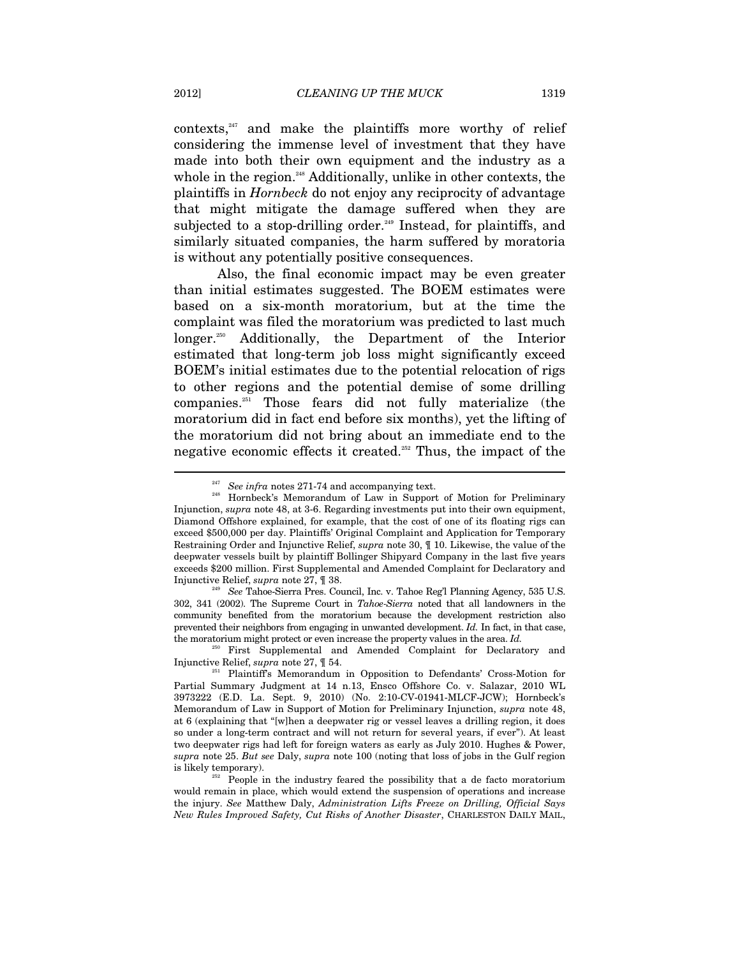$contexts<sub>1</sub><sup>247</sup>$  and make the plaintiffs more worthy of relief considering the immense level of investment that they have made into both their own equipment and the industry as a whole in the region.<sup>248</sup> Additionally, unlike in other contexts, the plaintiffs in *Hornbeck* do not enjoy any reciprocity of advantage that might mitigate the damage suffered when they are subjected to a stop-drilling order.<sup>249</sup> Instead, for plaintiffs, and similarly situated companies, the harm suffered by moratoria is without any potentially positive consequences.

Also, the final economic impact may be even greater than initial estimates suggested. The BOEM estimates were based on a six-month moratorium, but at the time the complaint was filed the moratorium was predicted to last much longer.250 Additionally, the Department of the Interior estimated that long-term job loss might significantly exceed BOEM's initial estimates due to the potential relocation of rigs to other regions and the potential demise of some drilling companies.251 Those fears did not fully materialize (the moratorium did in fact end before six months), yet the lifting of the moratorium did not bring about an immediate end to the negative economic effects it created.252 Thus, the impact of the

302, 341 (2002). The Supreme Court in *Tahoe-Sierra* noted that all landowners in the community benefited from the moratorium because the development restriction also prevented their neighbors from engaging in unwanted development. *Id.* In fact, in that case, the moratorium might protect or even increase the property values in the area. *Id.* 

First Supplemental and Amended Complaint for Declaratory and Injunctive Relief, *supra* note 27, ¶ 54. 251 Plaintiff's Memorandum in Opposition to Defendants' Cross-Motion for

<sup>&</sup>lt;sup>247</sup> See infra notes 271-74 and accompanying text.<br><sup>248</sup> Hornbeck's Memorandum of Law in Support of Motion for Preliminary Injunction, *supra* note 48, at 3-6. Regarding investments put into their own equipment, Diamond Offshore explained, for example, that the cost of one of its floating rigs can exceed \$500,000 per day. Plaintiffs' Original Complaint and Application for Temporary Restraining Order and Injunctive Relief, *supra* note 30, ¶ 10. Likewise, the value of the deepwater vessels built by plaintiff Bollinger Shipyard Company in the last five years exceeds \$200 million. First Supplemental and Amended Complaint for Declaratory and Injunctive Relief, *supra* note 27, ¶ 38. 249 *See* Tahoe-Sierra Pres. Council, Inc. v. Tahoe Reg'l Planning Agency, 535 U.S.

Partial Summary Judgment at 14 n.13, Ensco Offshore Co. v. Salazar, 2010 WL 3973222 (E.D. La. Sept. 9, 2010) (No. 2:10-CV-01941-MLCF-JCW); Hornbeck's Memorandum of Law in Support of Motion for Preliminary Injunction, *supra* note 48, at 6 (explaining that "[w]hen a deepwater rig or vessel leaves a drilling region, it does so under a long-term contract and will not return for several years, if ever"). At least two deepwater rigs had left for foreign waters as early as July 2010. Hughes & Power, *supra* note 25. *But see* Daly, *supra* note 100 (noting that loss of jobs in the Gulf region is likely temporary).<br><sup>252</sup> People in the industry feared the possibility that a de facto moratorium

would remain in place, which would extend the suspension of operations and increase the injury. *See* Matthew Daly, *Administration Lifts Freeze on Drilling, Official Says New Rules Improved Safety, Cut Risks of Another Disaster*, CHARLESTON DAILY MAIL,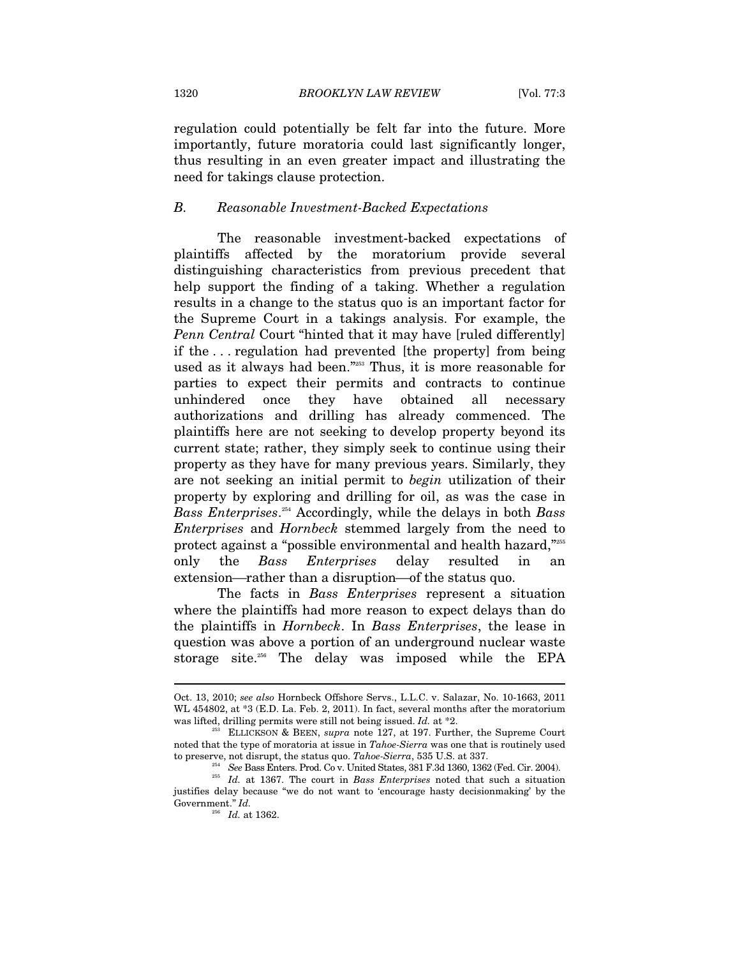regulation could potentially be felt far into the future. More importantly, future moratoria could last significantly longer, thus resulting in an even greater impact and illustrating the need for takings clause protection.

# *B. Reasonable Investment-Backed Expectations*

The reasonable investment-backed expectations of plaintiffs affected by the moratorium provide several distinguishing characteristics from previous precedent that help support the finding of a taking. Whether a regulation results in a change to the status quo is an important factor for the Supreme Court in a takings analysis. For example, the *Penn Central* Court "hinted that it may have [ruled differently] if the . . . regulation had prevented [the property] from being used as it always had been."253 Thus, it is more reasonable for parties to expect their permits and contracts to continue unhindered once they have obtained all necessary authorizations and drilling has already commenced. The plaintiffs here are not seeking to develop property beyond its current state; rather, they simply seek to continue using their property as they have for many previous years. Similarly, they are not seeking an initial permit to *begin* utilization of their property by exploring and drilling for oil, as was the case in *Bass Enterprises*. 254 Accordingly, while the delays in both *Bass Enterprises* and *Hornbeck* stemmed largely from the need to protect against a "possible environmental and health hazard,"255 only the *Bass Enterprises* delay resulted in an extension—rather than a disruption—of the status quo.

The facts in *Bass Enterprises* represent a situation where the plaintiffs had more reason to expect delays than do the plaintiffs in *Hornbeck*. In *Bass Enterprises*, the lease in question was above a portion of an underground nuclear waste storage site.<sup>256</sup> The delay was imposed while the EPA

Oct. 13, 2010; *see also* Hornbeck Offshore Servs., L.L.C. v. Salazar, No. 10-1663, 2011 WL 454802, at  $*3$  (E.D. La. Feb. 2, 2011). In fact, several months after the moratorium was lifted, drilling permits were still not being issued. *Id.* at \*2.<br><sup>253</sup> ELLICKSON & BEEN, *supra* note 127, at 197. Further, the Supreme Court

noted that the type of moratoria at issue in *Tahoe-Sierra* was one that is routinely used

<sup>&</sup>lt;sup>254</sup> See Bass Enters. Prod. Co v. United States, 381 F.3d 1360, 1362 (Fed. Cir. 2004).<br><sup>255</sup> Id. at 1367. The court in Bass Enterprises noted that such a situation justifies delay because "we do not want to 'encourage hasty decisionmaking' by the Government." *Id.* 

<sup>256</sup> *Id.* at 1362.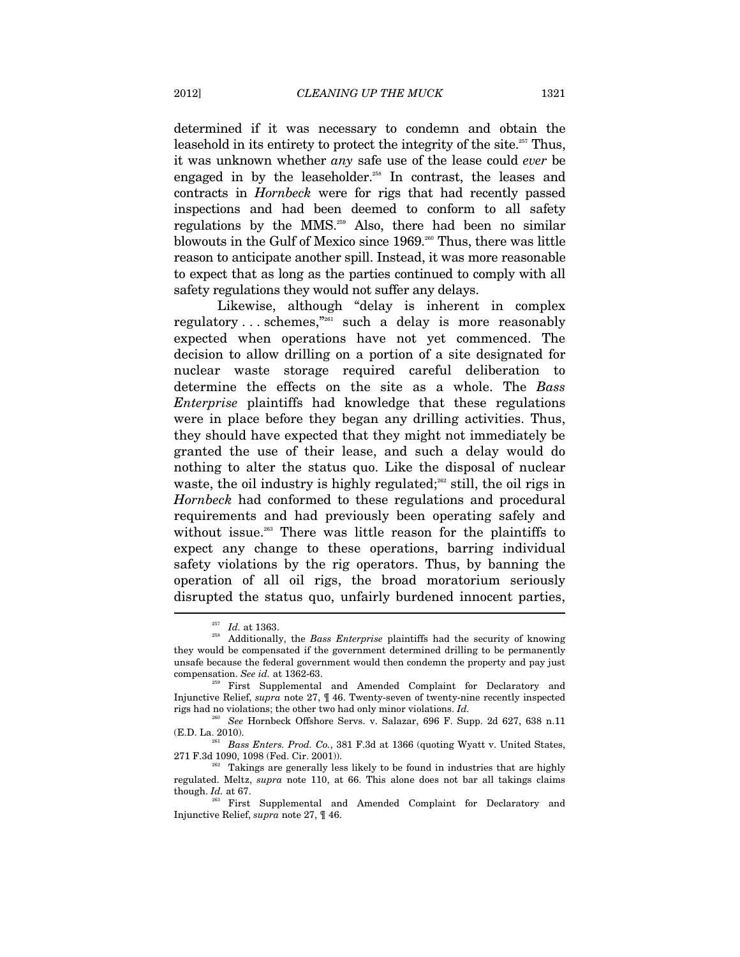determined if it was necessary to condemn and obtain the leasehold in its entirety to protect the integrity of the site.<sup>257</sup> Thus, it was unknown whether *any* safe use of the lease could *ever* be engaged in by the leaseholder.<sup>258</sup> In contrast, the leases and contracts in *Hornbeck* were for rigs that had recently passed inspections and had been deemed to conform to all safety regulations by the MMS.259 Also, there had been no similar blowouts in the Gulf of Mexico since 1969.<sup>260</sup> Thus, there was little reason to anticipate another spill. Instead, it was more reasonable to expect that as long as the parties continued to comply with all safety regulations they would not suffer any delays.

Likewise, although "delay is inherent in complex regulatory . . . schemes,<sup>"261</sup> such a delay is more reasonably expected when operations have not yet commenced. The decision to allow drilling on a portion of a site designated for nuclear waste storage required careful deliberation to determine the effects on the site as a whole. The *Bass Enterprise* plaintiffs had knowledge that these regulations were in place before they began any drilling activities. Thus, they should have expected that they might not immediately be granted the use of their lease, and such a delay would do nothing to alter the status quo. Like the disposal of nuclear waste, the oil industry is highly regulated; $262$  still, the oil rigs in *Hornbeck* had conformed to these regulations and procedural requirements and had previously been operating safely and without issue.<sup>263</sup> There was little reason for the plaintiffs to expect any change to these operations, barring individual safety violations by the rig operators. Thus, by banning the operation of all oil rigs, the broad moratorium seriously disrupted the status quo, unfairly burdened innocent parties,  $\overline{\phantom{a}}$ 

<sup>&</sup>lt;sup>257</sup> *Id.* at 1363.<br><sup>258</sup> Additionally, the *Bass Enterprise* plaintiffs had the security of knowing they would be compensated if the government determined drilling to be permanently unsafe because the federal government would then condemn the property and pay just compensation. *See id.* at 1362-63. 259 First Supplemental and Amended Complaint for Declaratory and

Injunctive Relief, *supra* note 27, ¶ 46. Twenty-seven of twenty-nine recently inspected rigs had no violations; the other two had only minor violations. *Id.* <sup>260</sup> See Hornbeck Offshore Servs. v. Salazar, 696 F. Supp. 2d 627, 638 n.11

<sup>(</sup>E.D. La. 2010). 261 *Bass Enters. Prod. Co.*, 381 F.3d at 1366 (quoting Wyatt v. United States,

 $282$  Takings are generally less likely to be found in industries that are highly regulated. Meltz, *supra* note 110, at 66. This alone does not bar all takings claims though. *Id.* at 67. 263 First Supplemental and Amended Complaint for Declaratory and

Injunctive Relief, *supra* note 27, ¶ 46.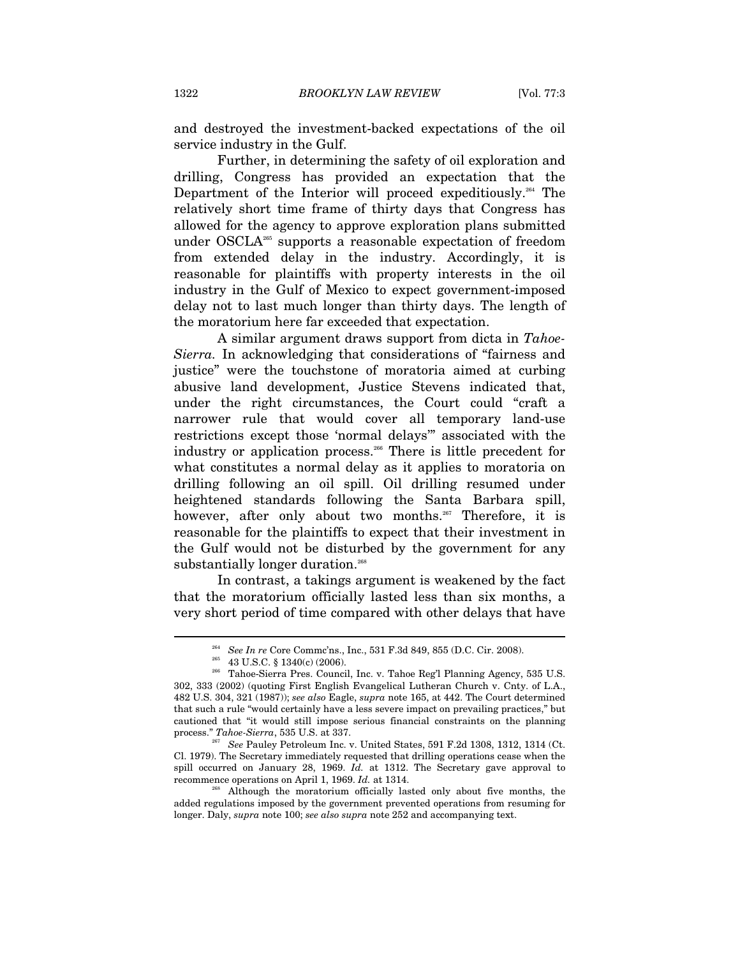and destroyed the investment-backed expectations of the oil service industry in the Gulf.

Further, in determining the safety of oil exploration and drilling, Congress has provided an expectation that the Department of the Interior will proceed expeditiously.<sup>264</sup> The relatively short time frame of thirty days that Congress has allowed for the agency to approve exploration plans submitted under OSCLA265 supports a reasonable expectation of freedom from extended delay in the industry. Accordingly, it is reasonable for plaintiffs with property interests in the oil industry in the Gulf of Mexico to expect government-imposed delay not to last much longer than thirty days. The length of the moratorium here far exceeded that expectation.

A similar argument draws support from dicta in *Tahoe-Sierra.* In acknowledging that considerations of "fairness and justice" were the touchstone of moratoria aimed at curbing abusive land development, Justice Stevens indicated that, under the right circumstances, the Court could "craft a narrower rule that would cover all temporary land-use restrictions except those 'normal delays'" associated with the industry or application process.266 There is little precedent for what constitutes a normal delay as it applies to moratoria on drilling following an oil spill. Oil drilling resumed under heightened standards following the Santa Barbara spill, however, after only about two months.<sup>267</sup> Therefore, it is reasonable for the plaintiffs to expect that their investment in the Gulf would not be disturbed by the government for any substantially longer duration.<sup>268</sup>

In contrast, a takings argument is weakened by the fact that the moratorium officially lasted less than six months, a very short period of time compared with other delays that have

 $\overline{a}$ 

process." *Tahoe-Sierra*, 535 U.S. at 337.<br><sup>267</sup> See Pauley Petroleum Inc. v. United States, 591 F.2d 1308, 1312, 1314 (Ct. Cl. 1979). The Secretary immediately requested that drilling operations cease when the spill occurred on January 28, 1969. *Id.* at 1312. The Secretary gave approval to recommence operations on April 1, 1969. *Id.* at 1314.

<sup>&</sup>lt;sup>264</sup> See In re Core Commc'ns., Inc., 531 F.3d 849, 855 (D.C. Cir. 2008).<br><sup>265</sup> 43 U.S.C. § 1340(c) (2006).<br><sup>266</sup> Tahoe-Sierra Pres. Council, Inc. v. Tahoe Reg'l Planning Agency, 535 U.S. 302, 333 (2002) (quoting First English Evangelical Lutheran Church v. Cnty. of L.A., 482 U.S. 304, 321 (1987)); *see also* Eagle, *supra* note 165, at 442. The Court determined that such a rule "would certainly have a less severe impact on prevailing practices," but cautioned that "it would still impose serious financial constraints on the planning

<sup>&</sup>lt;sup>268</sup> Although the moratorium officially lasted only about five months, the added regulations imposed by the government prevented operations from resuming for longer. Daly, *supra* note 100; *see also supra* note 252 and accompanying text.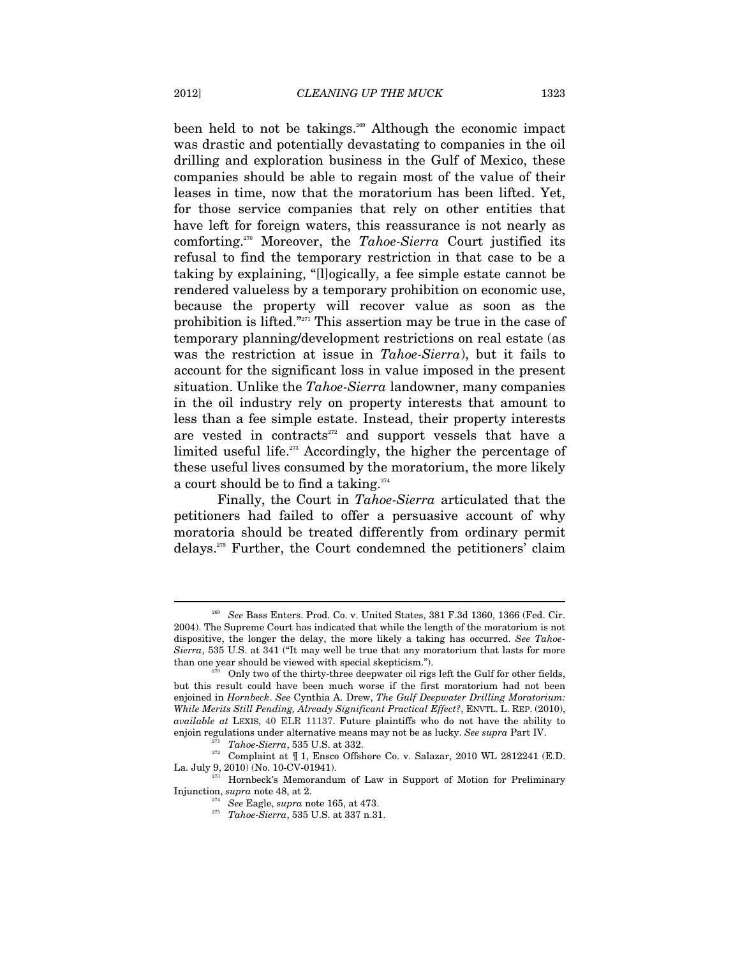been held to not be takings.<sup>269</sup> Although the economic impact was drastic and potentially devastating to companies in the oil drilling and exploration business in the Gulf of Mexico, these companies should be able to regain most of the value of their leases in time, now that the moratorium has been lifted. Yet, for those service companies that rely on other entities that have left for foreign waters, this reassurance is not nearly as comforting.270 Moreover, the *Tahoe-Sierra* Court justified its refusal to find the temporary restriction in that case to be a taking by explaining, "[l]ogically, a fee simple estate cannot be rendered valueless by a temporary prohibition on economic use, because the property will recover value as soon as the prohibition is lifted."271 This assertion may be true in the case of temporary planning/development restrictions on real estate (as was the restriction at issue in *Tahoe-Sierra*), but it fails to account for the significant loss in value imposed in the present situation. Unlike the *Tahoe-Sierra* landowner, many companies in the oil industry rely on property interests that amount to less than a fee simple estate. Instead, their property interests are vested in contracts $272$  and support vessels that have a limited useful life.273 Accordingly, the higher the percentage of these useful lives consumed by the moratorium, the more likely a court should be to find a taking.<sup>274</sup>

Finally, the Court in *Tahoe-Sierra* articulated that the petitioners had failed to offer a persuasive account of why moratoria should be treated differently from ordinary permit delays.275 Further, the Court condemned the petitioners' claim

<sup>269</sup> *See* Bass Enters. Prod. Co. v. United States, 381 F.3d 1360, 1366 (Fed. Cir. 2004). The Supreme Court has indicated that while the length of the moratorium is not dispositive, the longer the delay, the more likely a taking has occurred. *See Tahoe-Sierra*, 535 U.S. at 341 ("It may well be true that any moratorium that lasts for more than one year should be viewed with special skepticism.").<br><sup>270</sup> Only two of the thirty-three deepwater oil rigs left the Gulf for other fields,

but this result could have been much worse if the first moratorium had not been enjoined in *Hornbeck*. *See* Cynthia A. Drew, *The Gulf Deepwater Drilling Moratorium: While Merits Still Pending, Already Significant Practical Effect?*, ENVTL. L. REP. (2010), *available at* LEXIS, 40 ELR 11137. Future plaintiffs who do not have the ability to

enjoin regulations under alternative means may not be as lucky. *See supra* Part IV.<br><sup>271</sup> *Tahoe-Sierra*, 535 U.S. at 332. 272 Complaint at ¶ 1, Ensco Offshore Co. v. Salazar, 2010 WL 2812241 (E.D. La. July 9, 2010) (No. 10-CV-01941).<br><sup>273</sup> Hornbeck's Memorandum of Law in Support of Motion for Preliminary

Injunction, *supra* note 48, at 2. 274 *See* Eagle, *supra* note 165, at 473. 275 *Tahoe-Sierra*, 535 U.S. at 337 n.31.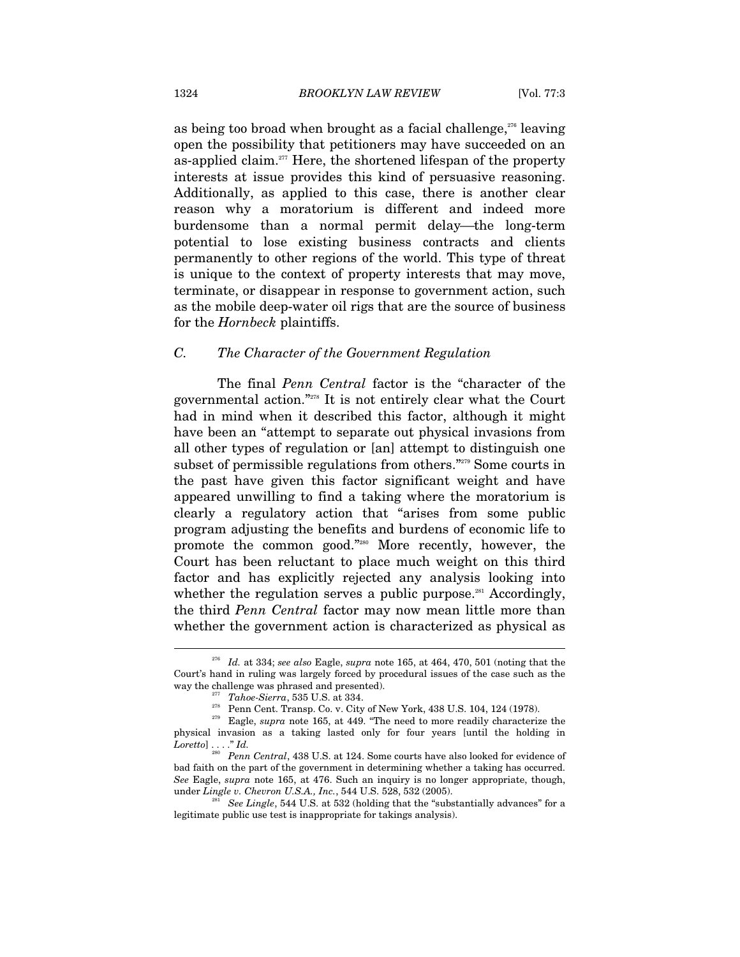as being too broad when brought as a facial challenge, $276$  leaving open the possibility that petitioners may have succeeded on an as-applied claim.<sup> $277$ </sup> Here, the shortened lifespan of the property interests at issue provides this kind of persuasive reasoning. Additionally, as applied to this case, there is another clear reason why a moratorium is different and indeed more burdensome than a normal permit delay—the long-term potential to lose existing business contracts and clients permanently to other regions of the world. This type of threat is unique to the context of property interests that may move, terminate, or disappear in response to government action, such as the mobile deep-water oil rigs that are the source of business for the *Hornbeck* plaintiffs.

## *C. The Character of the Government Regulation*

The final *Penn Central* factor is the "character of the governmental action."278 It is not entirely clear what the Court had in mind when it described this factor, although it might have been an "attempt to separate out physical invasions from all other types of regulation or [an] attempt to distinguish one subset of permissible regulations from others."279 Some courts in the past have given this factor significant weight and have appeared unwilling to find a taking where the moratorium is clearly a regulatory action that "arises from some public program adjusting the benefits and burdens of economic life to promote the common good."280 More recently, however, the Court has been reluctant to place much weight on this third factor and has explicitly rejected any analysis looking into whether the regulation serves a public purpose.<sup>281</sup> Accordingly, the third *Penn Central* factor may now mean little more than whether the government action is characterized as physical as

<sup>276</sup> *Id.* at 334; *see also* Eagle, *supra* note 165, at 464, 470, 501 (noting that the Court's hand in ruling was largely forced by procedural issues of the case such as the

<sup>%</sup> way the challenge was phrased and presented).<br>  $\frac{277}{77}$  Tahoe-Sierra, 535 U.S. at 334.<br>
Penn Cent. Transp. Co. v. City of New York, 438 U.S. 104, 124 (1978).<br>  $\frac{278}{779}$  Eagle, *supra* note 165, at 449. "The need physical invasion as a taking lasted only for four years [until the holding in *Loretto*] . . . ." *Id.* 

<sup>&</sup>lt;sup>30</sup> Penn Central, 438 U.S. at 124. Some courts have also looked for evidence of bad faith on the part of the government in determining whether a taking has occurred. *See* Eagle, *supra* note 165, at 476. Such an inquiry is no longer appropriate, though,

*See Lingle,* 544 U.S. at 532 (holding that the "substantially advances" for a legitimate public use test is inappropriate for takings analysis).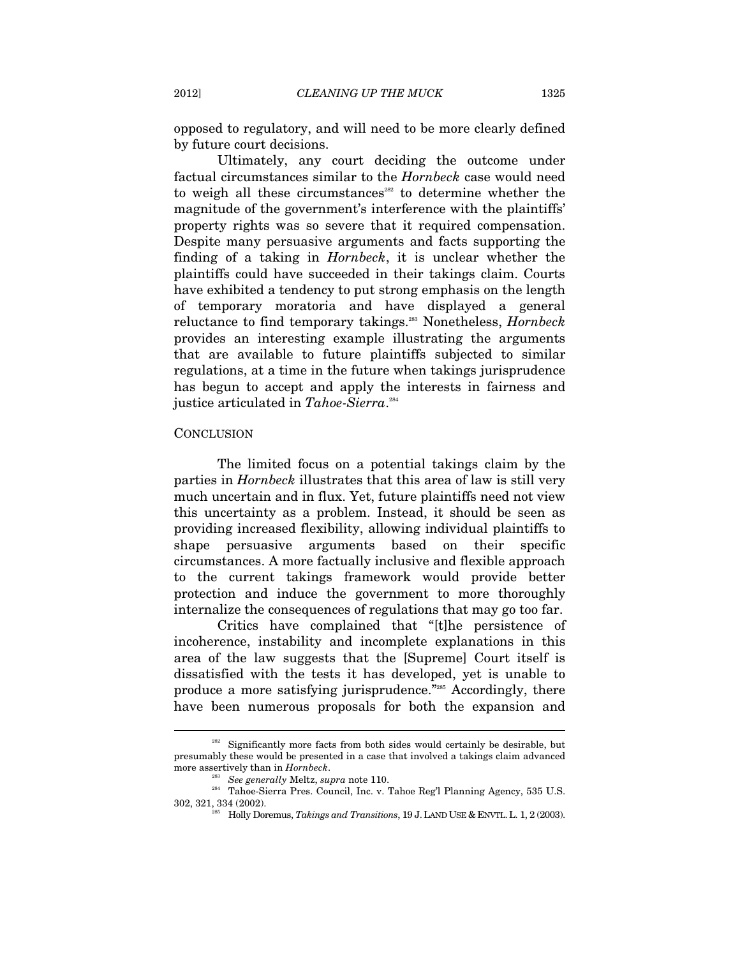opposed to regulatory, and will need to be more clearly defined by future court decisions.

Ultimately, any court deciding the outcome under factual circumstances similar to the *Hornbeck* case would need to weigh all these circumstances<sup>282</sup> to determine whether the magnitude of the government's interference with the plaintiffs' property rights was so severe that it required compensation. Despite many persuasive arguments and facts supporting the finding of a taking in *Hornbeck*, it is unclear whether the plaintiffs could have succeeded in their takings claim. Courts have exhibited a tendency to put strong emphasis on the length of temporary moratoria and have displayed a general reluctance to find temporary takings.283 Nonetheless, *Hornbeck*  provides an interesting example illustrating the arguments that are available to future plaintiffs subjected to similar regulations, at a time in the future when takings jurisprudence has begun to accept and apply the interests in fairness and justice articulated in *Tahoe-Sierra*. 284

#### **CONCLUSION**

 $\overline{a}$ 

The limited focus on a potential takings claim by the parties in *Hornbeck* illustrates that this area of law is still very much uncertain and in flux. Yet, future plaintiffs need not view this uncertainty as a problem. Instead, it should be seen as providing increased flexibility, allowing individual plaintiffs to shape persuasive arguments based on their specific circumstances. A more factually inclusive and flexible approach to the current takings framework would provide better protection and induce the government to more thoroughly internalize the consequences of regulations that may go too far.

Critics have complained that "[t]he persistence of incoherence, instability and incomplete explanations in this area of the law suggests that the [Supreme] Court itself is dissatisfied with the tests it has developed, yet is unable to produce a more satisfying jurisprudence."285 Accordingly, there have been numerous proposals for both the expansion and

 $282$  Significantly more facts from both sides would certainly be desirable, but presumably these would be presented in a case that involved a takings claim advanced

more assertively than in *Hornbeck*.<br><sup>283</sup> See generally Meltz, *supra* note 110.<br><sup>284</sup> Tahoe-Sierra Pres. Council, Inc. v. Tahoe Reg'l Planning Agency, 535 U.S. 302, 321, 334 (2002). 285 Holly Doremus, *Takings and Transitions*, 19 J.LAND USE & ENVTL.L. 1, 2 (2003).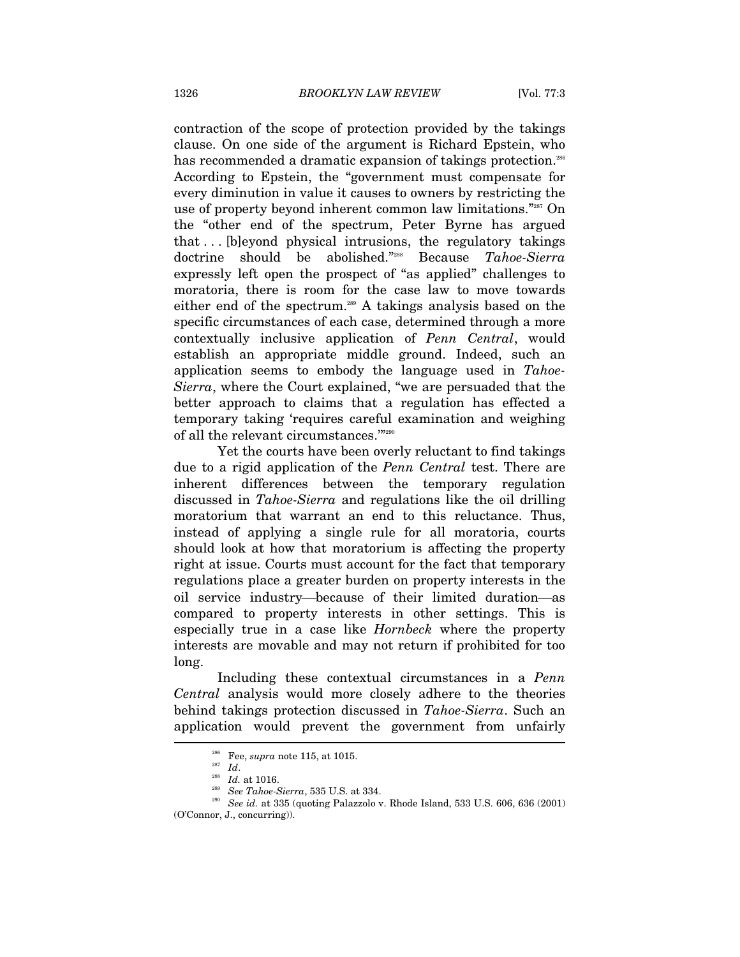contraction of the scope of protection provided by the takings clause. On one side of the argument is Richard Epstein, who has recommended a dramatic expansion of takings protection.<sup>286</sup> According to Epstein, the "government must compensate for every diminution in value it causes to owners by restricting the use of property beyond inherent common law limitations."287 On the "other end of the spectrum, Peter Byrne has argued that . . . [b]eyond physical intrusions, the regulatory takings doctrine should be abolished."288 Because *Tahoe-Sierra* expressly left open the prospect of "as applied" challenges to moratoria, there is room for the case law to move towards either end of the spectrum.<sup>289</sup> A takings analysis based on the specific circumstances of each case, determined through a more contextually inclusive application of *Penn Central*, would establish an appropriate middle ground. Indeed, such an application seems to embody the language used in *Tahoe-Sierra*, where the Court explained, "we are persuaded that the better approach to claims that a regulation has effected a temporary taking 'requires careful examination and weighing of all the relevant circumstances.'"290

Yet the courts have been overly reluctant to find takings due to a rigid application of the *Penn Central* test. There are inherent differences between the temporary regulation discussed in *Tahoe-Sierra* and regulations like the oil drilling moratorium that warrant an end to this reluctance. Thus, instead of applying a single rule for all moratoria, courts should look at how that moratorium is affecting the property right at issue. Courts must account for the fact that temporary regulations place a greater burden on property interests in the oil service industry—because of their limited duration—as compared to property interests in other settings. This is especially true in a case like *Hornbeck* where the property interests are movable and may not return if prohibited for too long.

Including these contextual circumstances in a *Penn Central* analysis would more closely adhere to the theories behind takings protection discussed in *Tahoe-Sierra*. Such an application would prevent the government from unfairly

<sup>&</sup>lt;sup>286</sup> Fee, *supra* note 115, at 1015.<br><sup>287</sup> *Id. at 1016.*<br><sup>288</sup> See Tahoe-Sierra, 535 U.S. at 334.<br><sup>290</sup> See id. at 335 (quoting Palazzolo v. Rhode Island, 533 U.S. 606, 636 (2001) (O'Connor, J., concurring)).